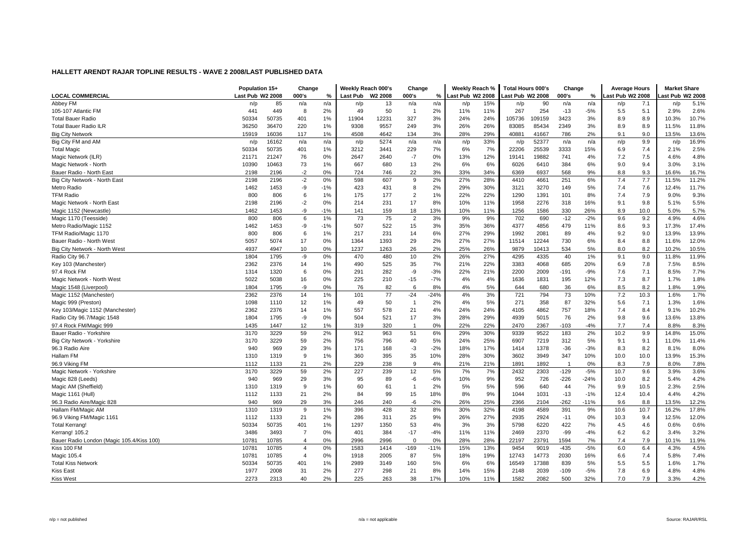| <b>LOCAL COMMERCIAL</b><br>Last Pub W2 2008<br>W <sub>2</sub> 2008<br>Last Pub W2 2008<br>Last Pub W2 2008<br>000's<br>ast Pub W2 2008<br>ast Pub W2 2008<br>000's<br><b>Last Pub</b><br>000's<br>%<br>%<br>%<br>Abbey FM<br>85<br>15%<br>5.1%<br>n/a<br>13<br>n/a<br>90<br>n/a<br>7.1<br>n/p<br>n/a<br>n/a<br>n/p<br>n/p<br>n/a<br>n/p<br>n/p<br>n/p<br>50<br>105-107 Atlantic FM<br>441<br>449<br>8<br>2%<br>49<br>2%<br>11%<br>11%<br>267<br>254<br>$-13$<br>$-5%$<br>5.1<br>2.9%<br>2.6%<br>$\overline{1}$<br>5.5<br>50735<br>401<br>1%<br>12231<br>327<br>3%<br>24%<br>24%<br>3423<br>3%<br>8.9<br>10.7%<br><b>Total Bauer Radio</b><br>50334<br>11904<br>105736<br>109159<br>8.9<br>10.3%<br>26%<br>11.8%<br>36470<br>220<br>1%<br>9557<br>249<br>3%<br>26%<br>83085<br>85434<br>2349<br>3%<br>8.9<br>8.9<br>11.5%<br><b>Total Bauer Radio ILR</b><br>36250<br>9308<br>15919<br>16036<br>117<br>1%<br>4642<br>134<br>3%<br>28%<br>29%<br>40881<br>41667<br>786<br>2%<br>9.0<br>13.5%<br>13.6%<br><b>Big City Network</b><br>4508<br>9.1<br>33%<br>9.9<br>16.9%<br>Big City FM and AM<br>16162<br>5274<br>52377<br>n/p<br>n/a<br>n/a<br>n/a<br>n/a<br>n/a<br>n/p<br>n/p<br>n/p<br>n/a<br>n/p<br>n/p<br>22206<br>25539<br>3333<br>7.4<br>2.5%<br><b>Total Magic</b><br>50334<br>50735<br>401<br>1%<br>3212<br>229<br>7%<br>6%<br>7%<br>15%<br>2.1%<br>3441<br>6.9<br>21247<br>0%<br>12%<br>19882<br>4%<br>7.5<br>4.8%<br>21171<br>76<br>0%<br>2647<br>$-7$<br>13%<br>19141<br>741<br>7.2<br>4.6%<br>Magic Network (ILR)<br>2640<br>10390<br>10463<br>73<br>1%<br>667<br>680<br>13<br>2%<br>6%<br>6%<br>6026<br>6410<br>384<br>6%<br>9.0<br>9.4<br>3.0%<br>3.1%<br>Magic Network - North<br>2196<br>$-2$<br>0%<br>724<br>746<br>22<br>3%<br>33%<br>34%<br>6369<br>6937<br>568<br>9%<br>8.8<br>9.3<br>16.7%<br>Bauer Radio - North East<br>2198<br>16.6%<br>$-2$<br>2%<br>28%<br>251<br>7.7<br>11.2%<br>2198<br>2196<br>0%<br>598<br>607<br>9<br>27%<br>4410<br>4661<br>6%<br>7.4<br>11.5%<br>Big City Network - North East<br>1462<br>1453<br>-9<br>$-1%$<br>423<br>431<br>8<br>2%<br>29%<br>30%<br>3270<br>149<br>5%<br>7.6<br>11.7%<br>Metro Radio<br>3121<br>7.4<br>12.4%<br><b>TFM Radio</b><br>800<br>$\overline{2}$<br>22%<br>22%<br>1290<br>1391<br>7.9<br>9.3%<br>806<br>6<br>1%<br>175<br>177<br>1%<br>101<br>8%<br>7.4<br>9.0%<br>$-2$<br>9.8<br>5.5%<br>Magic Network - North East<br>2198<br>2196<br>0%<br>214<br>231<br>17<br>8%<br>10%<br>11%<br>1958<br>2276<br>318<br>16%<br>9.1<br>5.1%<br>-9<br>$-1%$<br>18<br>13%<br>10%<br>11%<br>1256<br>330<br>26%<br>10.0<br>5.7%<br>Magic 1152 (Newcastle)<br>1462<br>1453<br>159<br>1586<br>8.9<br>5.0%<br>141<br>75<br>9%<br>9.2<br>4.6%<br>Magic 1170 (Teesside)<br>800<br>806<br>6<br>1%<br>73<br>2<br>3%<br>9%<br>702<br>690<br>$-12$<br>$-2%$<br>9.6<br>4.9%<br>Metro Radio/Magic 1152<br>1462<br>1453<br>-9<br>$-1%$<br>507<br>522<br>15<br>3%<br>35%<br>36%<br>4377<br>4856<br>479<br>11%<br>9.3<br>17.3%<br>17.4%<br>8.6<br>13.9%<br>806<br>1%<br>231<br>6%<br>27%<br>29%<br>1992<br>2081<br>89<br>4%<br>9.0<br>TFM Radio/Magic 1170<br>800<br>6<br>217<br>14<br>9.2<br>13.9%<br>5057<br>5074<br>17<br>0%<br>1364<br>1393<br>29<br>2%<br>27%<br>27%<br>12244<br>730<br>6%<br>8.8<br>11.6%<br>12.0%<br>Bauer Radio - North West<br>11514<br>8.4<br>2%<br>26%<br>534<br>8.2<br>10.5%<br>Big City Network - North West<br>4937<br>4947<br>10<br>0%<br>1237<br>1263<br>26<br>25%<br>9879<br>10413<br>5%<br>8.0<br>10.2%<br>1804<br>0%<br>480<br>2%<br>26%<br>27%<br>1%<br>9.0<br>11.9%<br>Radio City 96.7<br>1795<br>-9<br>470<br>10<br>4295<br>4335<br>40<br>9.1<br>11.8%<br>2376<br>7%<br>22%<br>20%<br>7.8<br>8.5%<br>2362<br>14<br>1%<br>490<br>525<br>35<br>21%<br>3383<br>4068<br>685<br>7.5%<br>Key 103 (Manchester)<br>6.9<br>1314<br>1320<br>0%<br>291<br>282<br>-9<br>$-3%$<br>22%<br>21%<br>2200<br>2009<br>$-191$<br>$-9%$<br>7.1<br>8.5%<br>7.7%<br>97.4 Rock FM<br>6<br>7.6<br>5022<br>5038<br>16<br>0%<br>225<br>210<br>$-15$<br>$-7%$<br>4%<br>4%<br>1831<br>195<br>12%<br>7.3<br>8.7<br>1.8%<br>Magic Network - North West<br>1636<br>1.7%<br>0%<br>82<br>8%<br>5%<br>6%<br>8.2<br>1.9%<br>Magic 1548 (Liverpool)<br>1804<br>1795<br>-9<br>76<br>6<br>4%<br>644<br>680<br>36<br>8.5<br>1.8%<br>73<br>1.7%<br>2362<br>2376<br>14<br>1%<br>101<br>77<br>$-24$<br>$-24%$<br>4%<br>3%<br>721<br>794<br>10%<br>7.2<br>10.3<br>1.6%<br>Magic 1152 (Manchester)<br>1098<br>12<br>5%<br>87<br>1.6%<br>Magic 999 (Preston)<br>1110<br>1%<br>49<br>50<br>2%<br>4%<br>271<br>358<br>32%<br>5.6<br>7.1<br>1.3%<br>$\overline{1}$<br>21<br>8.4<br>10.2%<br>Key 103/Magic 1152 (Manchester)<br>2362<br>2376<br>14<br>1%<br>557<br>578<br>4%<br>24%<br>24%<br>4105<br>4862<br>757<br>18%<br>7.4<br>9.1%<br>1795<br>0%<br>17<br>3%<br>29%<br>4939<br>76<br>2%<br>9.6<br>13.8%<br>1804<br>-9<br>504<br>521<br>28%<br>5015<br>9.8<br>13.6%<br>Radio City 96.7/Magic 1548<br>22%<br>1435<br>1447<br>12<br>1%<br>319<br>320<br>0%<br>22%<br>2470<br>2367<br>$-103$<br>$-4%$<br>7.7<br>7.4<br>8.8%<br>8.3%<br>97.4 Rock FM/Magic 999<br>$\overline{1}$<br>9.9<br>3170<br>3229<br>59<br>2%<br>963<br>6%<br>30%<br>9522<br>183<br>2%<br>15.0%<br>Bauer Radio - Yorkshire<br>912<br>51<br>29%<br>9339<br>10.2<br>14.8%<br>3229<br>2%<br>796<br>5%<br>25%<br>7219<br>312<br>5%<br>11.4%<br>Big City Network - Yorkshire<br>3170<br>59<br>756<br>40<br>24%<br>6907<br>9.1<br>9.1<br>11.0%<br>969<br>29<br>3%<br>$-2%$<br>17%<br>1378<br>$-36$<br>$-3%$<br>8.2<br>8.0%<br>96.3 Radio Aire<br>940<br>171<br>168<br>$-3$<br>18%<br>1414<br>8.3<br>8.1%<br>3949<br>10.0<br>15.3%<br>Hallam FM<br>1310<br>1319<br>9<br>1%<br>360<br>395<br>35<br>10%<br>28%<br>30%<br>3602<br>347<br>10%<br>10.0<br>13.9%<br>7.8%<br>96.9 Viking FM<br>1133<br>21<br>2%<br>229<br>238<br>9<br>4%<br>21%<br>21%<br>1891<br>1892<br>0%<br>8.3<br>7.9<br>1112<br>1<br>8.0%<br>3170<br>3229<br>59<br>2%<br>227<br>239<br>12<br>5%<br>7%<br>7%<br>2432<br>2303<br>$-129$<br>$-5%$<br>10.7<br>9.6<br>3.9%<br>3.6%<br>Magic Network - Yorkshire<br>4.2%<br>940<br>969<br>29<br>3%<br>95<br>89<br>-6<br>$-6%$<br>10%<br>9%<br>952<br>726<br>-226<br>$-24%$<br>10.0<br>8.2<br>5.4%<br>Magic 828 (Leeds)<br>9<br>1%<br>2%<br>5%<br>5%<br>596<br>640<br>7%<br>10.5<br>2.3%<br>2.5%<br>Magic AM (Sheffield)<br>1310<br>1319<br>60<br>61<br>$\overline{1}$<br>44<br>9.9<br>21<br>2%<br>99<br>8%<br>9%<br>$-13$<br>$-1%$<br>4.2%<br>Magic 1161 (Hull)<br>1112<br>1133<br>84<br>15<br>18%<br>1044<br>1031<br>12.4<br>10.4<br>4.4%<br>969<br>29<br>3%<br>-6<br>$-2%$<br>26%<br>25%<br>$-262$<br>$-11%$<br>8.8<br>12.2%<br>96.3 Radio Aire/Magic 828<br>940<br>246<br>240<br>2366<br>2104<br>9.6<br>13.5%<br>17.8%<br>Hallam FM/Magic AM<br>1319<br>9<br>1%<br>396<br>428<br>32<br>8%<br>30%<br>32%<br>4589<br>391<br>9%<br>10.7<br>16.2%<br>1310<br>4198<br>10.6<br>12.0%<br>96.9 Viking FM/Magic 1161<br>1112<br>1133<br>21<br>2%<br>286<br>311<br>25<br>9%<br>26%<br>27%<br>2935<br>2924<br>$-11$<br>9.4<br>12.5%<br>0%<br>10.3<br>0.6%<br>50334<br>50735<br>401<br>1%<br>1297<br>1350<br>53<br>4%<br>3%<br>3%<br>5798<br>6220<br>422<br>7%<br>4.6<br>0.6%<br><b>Total Kerrang!</b><br>4.5<br>3486<br>3493<br>$\overline{7}$<br>0%<br>401<br>384<br>$-17$<br>$-4%$<br>11%<br>11%<br>2469<br>2370<br>$-99$<br>$-4%$<br>6.2<br>3.4%<br>3.2%<br>Kerrang! 105.2<br>6.2<br>0%<br>0%<br>28%<br>23791<br>7%<br>7.9<br>Bauer Radio London (Magic 105.4/Kiss 100)<br>10781<br>10785<br>$\overline{\mathbf{4}}$<br>2996<br>2996<br>$\mathbf 0$<br>28%<br>22197<br>1594<br>7.4<br>10.1%<br>11.9%<br>4.5%<br>0%<br>13%<br>$-435$<br>$-5%$<br>6.4<br>Kiss 100 FM<br>10781<br>10785<br>$\overline{4}$<br>1583<br>1414<br>$-11%$<br>15%<br>9454<br>9019<br>6.0<br>4.3%<br>$-169$<br>10785<br>87<br>5%<br>19%<br>2030<br>16%<br>7.4<br>7.4%<br>Magic 105.4<br>10781<br>$\overline{\mathbf{4}}$<br>0%<br>1918<br>2005<br>18%<br>12743<br>14773<br>5.8%<br>6.6<br>1.7%<br><b>Total Kiss Network</b><br>50334<br>50735<br>401<br>1%<br>2989<br>3149<br>160<br>5%<br>6%<br>6%<br>16549<br>17388<br>839<br>5%<br>5.5<br>5.5<br>1.6%<br>4.8%<br><b>Kiss East</b><br>2008<br>31<br>2%<br>277<br>298<br>21<br>8%<br>14%<br>15%<br>2148<br>2039<br>$-109$<br>$-5%$<br>6.9<br>1977<br>7.8<br>4.8% |                  | Population 15+ |      | Change |    | Weekly Reach 000's |     | Change |     | Weekly Reach % |     | <b>Total Hours 000's</b> |      | Change |     | <b>Average Hours</b> |     | <b>Market Share</b> |      |
|---------------------------------------------------------------------------------------------------------------------------------------------------------------------------------------------------------------------------------------------------------------------------------------------------------------------------------------------------------------------------------------------------------------------------------------------------------------------------------------------------------------------------------------------------------------------------------------------------------------------------------------------------------------------------------------------------------------------------------------------------------------------------------------------------------------------------------------------------------------------------------------------------------------------------------------------------------------------------------------------------------------------------------------------------------------------------------------------------------------------------------------------------------------------------------------------------------------------------------------------------------------------------------------------------------------------------------------------------------------------------------------------------------------------------------------------------------------------------------------------------------------------------------------------------------------------------------------------------------------------------------------------------------------------------------------------------------------------------------------------------------------------------------------------------------------------------------------------------------------------------------------------------------------------------------------------------------------------------------------------------------------------------------------------------------------------------------------------------------------------------------------------------------------------------------------------------------------------------------------------------------------------------------------------------------------------------------------------------------------------------------------------------------------------------------------------------------------------------------------------------------------------------------------------------------------------------------------------------------------------------------------------------------------------------------------------------------------------------------------------------------------------------------------------------------------------------------------------------------------------------------------------------------------------------------------------------------------------------------------------------------------------------------------------------------------------------------------------------------------------------------------------------------------------------------------------------------------------------------------------------------------------------------------------------------------------------------------------------------------------------------------------------------------------------------------------------------------------------------------------------------------------------------------------------------------------------------------------------------------------------------------------------------------------------------------------------------------------------------------------------------------------------------------------------------------------------------------------------------------------------------------------------------------------------------------------------------------------------------------------------------------------------------------------------------------------------------------------------------------------------------------------------------------------------------------------------------------------------------------------------------------------------------------------------------------------------------------------------------------------------------------------------------------------------------------------------------------------------------------------------------------------------------------------------------------------------------------------------------------------------------------------------------------------------------------------------------------------------------------------------------------------------------------------------------------------------------------------------------------------------------------------------------------------------------------------------------------------------------------------------------------------------------------------------------------------------------------------------------------------------------------------------------------------------------------------------------------------------------------------------------------------------------------------------------------------------------------------------------------------------------------------------------------------------------------------------------------------------------------------------------------------------------------------------------------------------------------------------------------------------------------------------------------------------------------------------------------------------------------------------------------------------------------------------------------------------------------------------------------------------------------------------------------------------------------------------------------------------------------------------------------------------------------------------------------------------------------------------------------------------------------------------------------------------------------------------------------------------------------------------------------------------------------------------------------------------------------------------------------------------------------------------------------------------------------------------------------------------------------------------------------------------------------------------------------------------------------------------------------------------------------------------------------------------------------------------------------------------------------------------------------------------------------------------------------------------------------------------------------------------------------------------------------------------------------------------------------------------------------------------------------------------------------------------------------------------------------------------------------------------------------------------------------------------------------------------------------------------------------------------------------------------------------------------------------------------------------------------------------------------------------------------------------------------------------------------------------------------------------------------------------------------------------------------------------------------------------------------------------------------------------------------------------------------------------------------------------------------------------------------------------------------------------------------------------------------------------------------------------------------------------------------------------------------------------------------------------------------------------------------------------------------------------------------------------------------------------------------------------------------------------------------------------------------------------------------------------------------------------------------------------------------------------------|------------------|----------------|------|--------|----|--------------------|-----|--------|-----|----------------|-----|--------------------------|------|--------|-----|----------------------|-----|---------------------|------|
|                                                                                                                                                                                                                                                                                                                                                                                                                                                                                                                                                                                                                                                                                                                                                                                                                                                                                                                                                                                                                                                                                                                                                                                                                                                                                                                                                                                                                                                                                                                                                                                                                                                                                                                                                                                                                                                                                                                                                                                                                                                                                                                                                                                                                                                                                                                                                                                                                                                                                                                                                                                                                                                                                                                                                                                                                                                                                                                                                                                                                                                                                                                                                                                                                                                                                                                                                                                                                                                                                                                                                                                                                                                                                                                                                                                                                                                                                                                                                                                                                                                                                                                                                                                                                                                                                                                                                                                                                                                                                                                                                                                                                                                                                                                                                                                                                                                                                                                                                                                                                                                                                                                                                                                                                                                                                                                                                                                                                                                                                                                                                                                                                                                                                                                                                                                                                                                                                                                                                                                                                                                                                                                                                                                                                                                                                                                                                                                                                                                                                                                                                                                                                                                                                                                                                                                                                                                                                                                                                                                                                                                                                                                                                                                                                                                                                                                                                                                                                                                                                                                                                                                                                                                                                                                                                                                                                                                                                                                                                                                                                                                                                                                                                                                                                                                                                             |                  |                |      |        |    |                    |     |        |     |                |     |                          |      |        |     |                      |     |                     |      |
|                                                                                                                                                                                                                                                                                                                                                                                                                                                                                                                                                                                                                                                                                                                                                                                                                                                                                                                                                                                                                                                                                                                                                                                                                                                                                                                                                                                                                                                                                                                                                                                                                                                                                                                                                                                                                                                                                                                                                                                                                                                                                                                                                                                                                                                                                                                                                                                                                                                                                                                                                                                                                                                                                                                                                                                                                                                                                                                                                                                                                                                                                                                                                                                                                                                                                                                                                                                                                                                                                                                                                                                                                                                                                                                                                                                                                                                                                                                                                                                                                                                                                                                                                                                                                                                                                                                                                                                                                                                                                                                                                                                                                                                                                                                                                                                                                                                                                                                                                                                                                                                                                                                                                                                                                                                                                                                                                                                                                                                                                                                                                                                                                                                                                                                                                                                                                                                                                                                                                                                                                                                                                                                                                                                                                                                                                                                                                                                                                                                                                                                                                                                                                                                                                                                                                                                                                                                                                                                                                                                                                                                                                                                                                                                                                                                                                                                                                                                                                                                                                                                                                                                                                                                                                                                                                                                                                                                                                                                                                                                                                                                                                                                                                                                                                                                                                             |                  |                |      |        |    |                    |     |        |     |                |     |                          |      |        |     |                      |     |                     |      |
|                                                                                                                                                                                                                                                                                                                                                                                                                                                                                                                                                                                                                                                                                                                                                                                                                                                                                                                                                                                                                                                                                                                                                                                                                                                                                                                                                                                                                                                                                                                                                                                                                                                                                                                                                                                                                                                                                                                                                                                                                                                                                                                                                                                                                                                                                                                                                                                                                                                                                                                                                                                                                                                                                                                                                                                                                                                                                                                                                                                                                                                                                                                                                                                                                                                                                                                                                                                                                                                                                                                                                                                                                                                                                                                                                                                                                                                                                                                                                                                                                                                                                                                                                                                                                                                                                                                                                                                                                                                                                                                                                                                                                                                                                                                                                                                                                                                                                                                                                                                                                                                                                                                                                                                                                                                                                                                                                                                                                                                                                                                                                                                                                                                                                                                                                                                                                                                                                                                                                                                                                                                                                                                                                                                                                                                                                                                                                                                                                                                                                                                                                                                                                                                                                                                                                                                                                                                                                                                                                                                                                                                                                                                                                                                                                                                                                                                                                                                                                                                                                                                                                                                                                                                                                                                                                                                                                                                                                                                                                                                                                                                                                                                                                                                                                                                                                             |                  |                |      |        |    |                    |     |        |     |                |     |                          |      |        |     |                      |     |                     |      |
|                                                                                                                                                                                                                                                                                                                                                                                                                                                                                                                                                                                                                                                                                                                                                                                                                                                                                                                                                                                                                                                                                                                                                                                                                                                                                                                                                                                                                                                                                                                                                                                                                                                                                                                                                                                                                                                                                                                                                                                                                                                                                                                                                                                                                                                                                                                                                                                                                                                                                                                                                                                                                                                                                                                                                                                                                                                                                                                                                                                                                                                                                                                                                                                                                                                                                                                                                                                                                                                                                                                                                                                                                                                                                                                                                                                                                                                                                                                                                                                                                                                                                                                                                                                                                                                                                                                                                                                                                                                                                                                                                                                                                                                                                                                                                                                                                                                                                                                                                                                                                                                                                                                                                                                                                                                                                                                                                                                                                                                                                                                                                                                                                                                                                                                                                                                                                                                                                                                                                                                                                                                                                                                                                                                                                                                                                                                                                                                                                                                                                                                                                                                                                                                                                                                                                                                                                                                                                                                                                                                                                                                                                                                                                                                                                                                                                                                                                                                                                                                                                                                                                                                                                                                                                                                                                                                                                                                                                                                                                                                                                                                                                                                                                                                                                                                                                             |                  |                |      |        |    |                    |     |        |     |                |     |                          |      |        |     |                      |     |                     |      |
|                                                                                                                                                                                                                                                                                                                                                                                                                                                                                                                                                                                                                                                                                                                                                                                                                                                                                                                                                                                                                                                                                                                                                                                                                                                                                                                                                                                                                                                                                                                                                                                                                                                                                                                                                                                                                                                                                                                                                                                                                                                                                                                                                                                                                                                                                                                                                                                                                                                                                                                                                                                                                                                                                                                                                                                                                                                                                                                                                                                                                                                                                                                                                                                                                                                                                                                                                                                                                                                                                                                                                                                                                                                                                                                                                                                                                                                                                                                                                                                                                                                                                                                                                                                                                                                                                                                                                                                                                                                                                                                                                                                                                                                                                                                                                                                                                                                                                                                                                                                                                                                                                                                                                                                                                                                                                                                                                                                                                                                                                                                                                                                                                                                                                                                                                                                                                                                                                                                                                                                                                                                                                                                                                                                                                                                                                                                                                                                                                                                                                                                                                                                                                                                                                                                                                                                                                                                                                                                                                                                                                                                                                                                                                                                                                                                                                                                                                                                                                                                                                                                                                                                                                                                                                                                                                                                                                                                                                                                                                                                                                                                                                                                                                                                                                                                                                             |                  |                |      |        |    |                    |     |        |     |                |     |                          |      |        |     |                      |     |                     |      |
|                                                                                                                                                                                                                                                                                                                                                                                                                                                                                                                                                                                                                                                                                                                                                                                                                                                                                                                                                                                                                                                                                                                                                                                                                                                                                                                                                                                                                                                                                                                                                                                                                                                                                                                                                                                                                                                                                                                                                                                                                                                                                                                                                                                                                                                                                                                                                                                                                                                                                                                                                                                                                                                                                                                                                                                                                                                                                                                                                                                                                                                                                                                                                                                                                                                                                                                                                                                                                                                                                                                                                                                                                                                                                                                                                                                                                                                                                                                                                                                                                                                                                                                                                                                                                                                                                                                                                                                                                                                                                                                                                                                                                                                                                                                                                                                                                                                                                                                                                                                                                                                                                                                                                                                                                                                                                                                                                                                                                                                                                                                                                                                                                                                                                                                                                                                                                                                                                                                                                                                                                                                                                                                                                                                                                                                                                                                                                                                                                                                                                                                                                                                                                                                                                                                                                                                                                                                                                                                                                                                                                                                                                                                                                                                                                                                                                                                                                                                                                                                                                                                                                                                                                                                                                                                                                                                                                                                                                                                                                                                                                                                                                                                                                                                                                                                                                             |                  |                |      |        |    |                    |     |        |     |                |     |                          |      |        |     |                      |     |                     |      |
|                                                                                                                                                                                                                                                                                                                                                                                                                                                                                                                                                                                                                                                                                                                                                                                                                                                                                                                                                                                                                                                                                                                                                                                                                                                                                                                                                                                                                                                                                                                                                                                                                                                                                                                                                                                                                                                                                                                                                                                                                                                                                                                                                                                                                                                                                                                                                                                                                                                                                                                                                                                                                                                                                                                                                                                                                                                                                                                                                                                                                                                                                                                                                                                                                                                                                                                                                                                                                                                                                                                                                                                                                                                                                                                                                                                                                                                                                                                                                                                                                                                                                                                                                                                                                                                                                                                                                                                                                                                                                                                                                                                                                                                                                                                                                                                                                                                                                                                                                                                                                                                                                                                                                                                                                                                                                                                                                                                                                                                                                                                                                                                                                                                                                                                                                                                                                                                                                                                                                                                                                                                                                                                                                                                                                                                                                                                                                                                                                                                                                                                                                                                                                                                                                                                                                                                                                                                                                                                                                                                                                                                                                                                                                                                                                                                                                                                                                                                                                                                                                                                                                                                                                                                                                                                                                                                                                                                                                                                                                                                                                                                                                                                                                                                                                                                                                             |                  |                |      |        |    |                    |     |        |     |                |     |                          |      |        |     |                      |     |                     |      |
|                                                                                                                                                                                                                                                                                                                                                                                                                                                                                                                                                                                                                                                                                                                                                                                                                                                                                                                                                                                                                                                                                                                                                                                                                                                                                                                                                                                                                                                                                                                                                                                                                                                                                                                                                                                                                                                                                                                                                                                                                                                                                                                                                                                                                                                                                                                                                                                                                                                                                                                                                                                                                                                                                                                                                                                                                                                                                                                                                                                                                                                                                                                                                                                                                                                                                                                                                                                                                                                                                                                                                                                                                                                                                                                                                                                                                                                                                                                                                                                                                                                                                                                                                                                                                                                                                                                                                                                                                                                                                                                                                                                                                                                                                                                                                                                                                                                                                                                                                                                                                                                                                                                                                                                                                                                                                                                                                                                                                                                                                                                                                                                                                                                                                                                                                                                                                                                                                                                                                                                                                                                                                                                                                                                                                                                                                                                                                                                                                                                                                                                                                                                                                                                                                                                                                                                                                                                                                                                                                                                                                                                                                                                                                                                                                                                                                                                                                                                                                                                                                                                                                                                                                                                                                                                                                                                                                                                                                                                                                                                                                                                                                                                                                                                                                                                                                             |                  |                |      |        |    |                    |     |        |     |                |     |                          |      |        |     |                      |     |                     |      |
|                                                                                                                                                                                                                                                                                                                                                                                                                                                                                                                                                                                                                                                                                                                                                                                                                                                                                                                                                                                                                                                                                                                                                                                                                                                                                                                                                                                                                                                                                                                                                                                                                                                                                                                                                                                                                                                                                                                                                                                                                                                                                                                                                                                                                                                                                                                                                                                                                                                                                                                                                                                                                                                                                                                                                                                                                                                                                                                                                                                                                                                                                                                                                                                                                                                                                                                                                                                                                                                                                                                                                                                                                                                                                                                                                                                                                                                                                                                                                                                                                                                                                                                                                                                                                                                                                                                                                                                                                                                                                                                                                                                                                                                                                                                                                                                                                                                                                                                                                                                                                                                                                                                                                                                                                                                                                                                                                                                                                                                                                                                                                                                                                                                                                                                                                                                                                                                                                                                                                                                                                                                                                                                                                                                                                                                                                                                                                                                                                                                                                                                                                                                                                                                                                                                                                                                                                                                                                                                                                                                                                                                                                                                                                                                                                                                                                                                                                                                                                                                                                                                                                                                                                                                                                                                                                                                                                                                                                                                                                                                                                                                                                                                                                                                                                                                                                             |                  |                |      |        |    |                    |     |        |     |                |     |                          |      |        |     |                      |     |                     |      |
|                                                                                                                                                                                                                                                                                                                                                                                                                                                                                                                                                                                                                                                                                                                                                                                                                                                                                                                                                                                                                                                                                                                                                                                                                                                                                                                                                                                                                                                                                                                                                                                                                                                                                                                                                                                                                                                                                                                                                                                                                                                                                                                                                                                                                                                                                                                                                                                                                                                                                                                                                                                                                                                                                                                                                                                                                                                                                                                                                                                                                                                                                                                                                                                                                                                                                                                                                                                                                                                                                                                                                                                                                                                                                                                                                                                                                                                                                                                                                                                                                                                                                                                                                                                                                                                                                                                                                                                                                                                                                                                                                                                                                                                                                                                                                                                                                                                                                                                                                                                                                                                                                                                                                                                                                                                                                                                                                                                                                                                                                                                                                                                                                                                                                                                                                                                                                                                                                                                                                                                                                                                                                                                                                                                                                                                                                                                                                                                                                                                                                                                                                                                                                                                                                                                                                                                                                                                                                                                                                                                                                                                                                                                                                                                                                                                                                                                                                                                                                                                                                                                                                                                                                                                                                                                                                                                                                                                                                                                                                                                                                                                                                                                                                                                                                                                                                             |                  |                |      |        |    |                    |     |        |     |                |     |                          |      |        |     |                      |     |                     |      |
|                                                                                                                                                                                                                                                                                                                                                                                                                                                                                                                                                                                                                                                                                                                                                                                                                                                                                                                                                                                                                                                                                                                                                                                                                                                                                                                                                                                                                                                                                                                                                                                                                                                                                                                                                                                                                                                                                                                                                                                                                                                                                                                                                                                                                                                                                                                                                                                                                                                                                                                                                                                                                                                                                                                                                                                                                                                                                                                                                                                                                                                                                                                                                                                                                                                                                                                                                                                                                                                                                                                                                                                                                                                                                                                                                                                                                                                                                                                                                                                                                                                                                                                                                                                                                                                                                                                                                                                                                                                                                                                                                                                                                                                                                                                                                                                                                                                                                                                                                                                                                                                                                                                                                                                                                                                                                                                                                                                                                                                                                                                                                                                                                                                                                                                                                                                                                                                                                                                                                                                                                                                                                                                                                                                                                                                                                                                                                                                                                                                                                                                                                                                                                                                                                                                                                                                                                                                                                                                                                                                                                                                                                                                                                                                                                                                                                                                                                                                                                                                                                                                                                                                                                                                                                                                                                                                                                                                                                                                                                                                                                                                                                                                                                                                                                                                                                             |                  |                |      |        |    |                    |     |        |     |                |     |                          |      |        |     |                      |     |                     |      |
|                                                                                                                                                                                                                                                                                                                                                                                                                                                                                                                                                                                                                                                                                                                                                                                                                                                                                                                                                                                                                                                                                                                                                                                                                                                                                                                                                                                                                                                                                                                                                                                                                                                                                                                                                                                                                                                                                                                                                                                                                                                                                                                                                                                                                                                                                                                                                                                                                                                                                                                                                                                                                                                                                                                                                                                                                                                                                                                                                                                                                                                                                                                                                                                                                                                                                                                                                                                                                                                                                                                                                                                                                                                                                                                                                                                                                                                                                                                                                                                                                                                                                                                                                                                                                                                                                                                                                                                                                                                                                                                                                                                                                                                                                                                                                                                                                                                                                                                                                                                                                                                                                                                                                                                                                                                                                                                                                                                                                                                                                                                                                                                                                                                                                                                                                                                                                                                                                                                                                                                                                                                                                                                                                                                                                                                                                                                                                                                                                                                                                                                                                                                                                                                                                                                                                                                                                                                                                                                                                                                                                                                                                                                                                                                                                                                                                                                                                                                                                                                                                                                                                                                                                                                                                                                                                                                                                                                                                                                                                                                                                                                                                                                                                                                                                                                                                             |                  |                |      |        |    |                    |     |        |     |                |     |                          |      |        |     |                      |     |                     |      |
|                                                                                                                                                                                                                                                                                                                                                                                                                                                                                                                                                                                                                                                                                                                                                                                                                                                                                                                                                                                                                                                                                                                                                                                                                                                                                                                                                                                                                                                                                                                                                                                                                                                                                                                                                                                                                                                                                                                                                                                                                                                                                                                                                                                                                                                                                                                                                                                                                                                                                                                                                                                                                                                                                                                                                                                                                                                                                                                                                                                                                                                                                                                                                                                                                                                                                                                                                                                                                                                                                                                                                                                                                                                                                                                                                                                                                                                                                                                                                                                                                                                                                                                                                                                                                                                                                                                                                                                                                                                                                                                                                                                                                                                                                                                                                                                                                                                                                                                                                                                                                                                                                                                                                                                                                                                                                                                                                                                                                                                                                                                                                                                                                                                                                                                                                                                                                                                                                                                                                                                                                                                                                                                                                                                                                                                                                                                                                                                                                                                                                                                                                                                                                                                                                                                                                                                                                                                                                                                                                                                                                                                                                                                                                                                                                                                                                                                                                                                                                                                                                                                                                                                                                                                                                                                                                                                                                                                                                                                                                                                                                                                                                                                                                                                                                                                                                             |                  |                |      |        |    |                    |     |        |     |                |     |                          |      |        |     |                      |     |                     |      |
|                                                                                                                                                                                                                                                                                                                                                                                                                                                                                                                                                                                                                                                                                                                                                                                                                                                                                                                                                                                                                                                                                                                                                                                                                                                                                                                                                                                                                                                                                                                                                                                                                                                                                                                                                                                                                                                                                                                                                                                                                                                                                                                                                                                                                                                                                                                                                                                                                                                                                                                                                                                                                                                                                                                                                                                                                                                                                                                                                                                                                                                                                                                                                                                                                                                                                                                                                                                                                                                                                                                                                                                                                                                                                                                                                                                                                                                                                                                                                                                                                                                                                                                                                                                                                                                                                                                                                                                                                                                                                                                                                                                                                                                                                                                                                                                                                                                                                                                                                                                                                                                                                                                                                                                                                                                                                                                                                                                                                                                                                                                                                                                                                                                                                                                                                                                                                                                                                                                                                                                                                                                                                                                                                                                                                                                                                                                                                                                                                                                                                                                                                                                                                                                                                                                                                                                                                                                                                                                                                                                                                                                                                                                                                                                                                                                                                                                                                                                                                                                                                                                                                                                                                                                                                                                                                                                                                                                                                                                                                                                                                                                                                                                                                                                                                                                                                             |                  |                |      |        |    |                    |     |        |     |                |     |                          |      |        |     |                      |     |                     |      |
|                                                                                                                                                                                                                                                                                                                                                                                                                                                                                                                                                                                                                                                                                                                                                                                                                                                                                                                                                                                                                                                                                                                                                                                                                                                                                                                                                                                                                                                                                                                                                                                                                                                                                                                                                                                                                                                                                                                                                                                                                                                                                                                                                                                                                                                                                                                                                                                                                                                                                                                                                                                                                                                                                                                                                                                                                                                                                                                                                                                                                                                                                                                                                                                                                                                                                                                                                                                                                                                                                                                                                                                                                                                                                                                                                                                                                                                                                                                                                                                                                                                                                                                                                                                                                                                                                                                                                                                                                                                                                                                                                                                                                                                                                                                                                                                                                                                                                                                                                                                                                                                                                                                                                                                                                                                                                                                                                                                                                                                                                                                                                                                                                                                                                                                                                                                                                                                                                                                                                                                                                                                                                                                                                                                                                                                                                                                                                                                                                                                                                                                                                                                                                                                                                                                                                                                                                                                                                                                                                                                                                                                                                                                                                                                                                                                                                                                                                                                                                                                                                                                                                                                                                                                                                                                                                                                                                                                                                                                                                                                                                                                                                                                                                                                                                                                                                             |                  |                |      |        |    |                    |     |        |     |                |     |                          |      |        |     |                      |     |                     |      |
|                                                                                                                                                                                                                                                                                                                                                                                                                                                                                                                                                                                                                                                                                                                                                                                                                                                                                                                                                                                                                                                                                                                                                                                                                                                                                                                                                                                                                                                                                                                                                                                                                                                                                                                                                                                                                                                                                                                                                                                                                                                                                                                                                                                                                                                                                                                                                                                                                                                                                                                                                                                                                                                                                                                                                                                                                                                                                                                                                                                                                                                                                                                                                                                                                                                                                                                                                                                                                                                                                                                                                                                                                                                                                                                                                                                                                                                                                                                                                                                                                                                                                                                                                                                                                                                                                                                                                                                                                                                                                                                                                                                                                                                                                                                                                                                                                                                                                                                                                                                                                                                                                                                                                                                                                                                                                                                                                                                                                                                                                                                                                                                                                                                                                                                                                                                                                                                                                                                                                                                                                                                                                                                                                                                                                                                                                                                                                                                                                                                                                                                                                                                                                                                                                                                                                                                                                                                                                                                                                                                                                                                                                                                                                                                                                                                                                                                                                                                                                                                                                                                                                                                                                                                                                                                                                                                                                                                                                                                                                                                                                                                                                                                                                                                                                                                                                             |                  |                |      |        |    |                    |     |        |     |                |     |                          |      |        |     |                      |     |                     |      |
|                                                                                                                                                                                                                                                                                                                                                                                                                                                                                                                                                                                                                                                                                                                                                                                                                                                                                                                                                                                                                                                                                                                                                                                                                                                                                                                                                                                                                                                                                                                                                                                                                                                                                                                                                                                                                                                                                                                                                                                                                                                                                                                                                                                                                                                                                                                                                                                                                                                                                                                                                                                                                                                                                                                                                                                                                                                                                                                                                                                                                                                                                                                                                                                                                                                                                                                                                                                                                                                                                                                                                                                                                                                                                                                                                                                                                                                                                                                                                                                                                                                                                                                                                                                                                                                                                                                                                                                                                                                                                                                                                                                                                                                                                                                                                                                                                                                                                                                                                                                                                                                                                                                                                                                                                                                                                                                                                                                                                                                                                                                                                                                                                                                                                                                                                                                                                                                                                                                                                                                                                                                                                                                                                                                                                                                                                                                                                                                                                                                                                                                                                                                                                                                                                                                                                                                                                                                                                                                                                                                                                                                                                                                                                                                                                                                                                                                                                                                                                                                                                                                                                                                                                                                                                                                                                                                                                                                                                                                                                                                                                                                                                                                                                                                                                                                                                             |                  |                |      |        |    |                    |     |        |     |                |     |                          |      |        |     |                      |     |                     |      |
|                                                                                                                                                                                                                                                                                                                                                                                                                                                                                                                                                                                                                                                                                                                                                                                                                                                                                                                                                                                                                                                                                                                                                                                                                                                                                                                                                                                                                                                                                                                                                                                                                                                                                                                                                                                                                                                                                                                                                                                                                                                                                                                                                                                                                                                                                                                                                                                                                                                                                                                                                                                                                                                                                                                                                                                                                                                                                                                                                                                                                                                                                                                                                                                                                                                                                                                                                                                                                                                                                                                                                                                                                                                                                                                                                                                                                                                                                                                                                                                                                                                                                                                                                                                                                                                                                                                                                                                                                                                                                                                                                                                                                                                                                                                                                                                                                                                                                                                                                                                                                                                                                                                                                                                                                                                                                                                                                                                                                                                                                                                                                                                                                                                                                                                                                                                                                                                                                                                                                                                                                                                                                                                                                                                                                                                                                                                                                                                                                                                                                                                                                                                                                                                                                                                                                                                                                                                                                                                                                                                                                                                                                                                                                                                                                                                                                                                                                                                                                                                                                                                                                                                                                                                                                                                                                                                                                                                                                                                                                                                                                                                                                                                                                                                                                                                                                             |                  |                |      |        |    |                    |     |        |     |                |     |                          |      |        |     |                      |     |                     |      |
|                                                                                                                                                                                                                                                                                                                                                                                                                                                                                                                                                                                                                                                                                                                                                                                                                                                                                                                                                                                                                                                                                                                                                                                                                                                                                                                                                                                                                                                                                                                                                                                                                                                                                                                                                                                                                                                                                                                                                                                                                                                                                                                                                                                                                                                                                                                                                                                                                                                                                                                                                                                                                                                                                                                                                                                                                                                                                                                                                                                                                                                                                                                                                                                                                                                                                                                                                                                                                                                                                                                                                                                                                                                                                                                                                                                                                                                                                                                                                                                                                                                                                                                                                                                                                                                                                                                                                                                                                                                                                                                                                                                                                                                                                                                                                                                                                                                                                                                                                                                                                                                                                                                                                                                                                                                                                                                                                                                                                                                                                                                                                                                                                                                                                                                                                                                                                                                                                                                                                                                                                                                                                                                                                                                                                                                                                                                                                                                                                                                                                                                                                                                                                                                                                                                                                                                                                                                                                                                                                                                                                                                                                                                                                                                                                                                                                                                                                                                                                                                                                                                                                                                                                                                                                                                                                                                                                                                                                                                                                                                                                                                                                                                                                                                                                                                                                             |                  |                |      |        |    |                    |     |        |     |                |     |                          |      |        |     |                      |     |                     |      |
|                                                                                                                                                                                                                                                                                                                                                                                                                                                                                                                                                                                                                                                                                                                                                                                                                                                                                                                                                                                                                                                                                                                                                                                                                                                                                                                                                                                                                                                                                                                                                                                                                                                                                                                                                                                                                                                                                                                                                                                                                                                                                                                                                                                                                                                                                                                                                                                                                                                                                                                                                                                                                                                                                                                                                                                                                                                                                                                                                                                                                                                                                                                                                                                                                                                                                                                                                                                                                                                                                                                                                                                                                                                                                                                                                                                                                                                                                                                                                                                                                                                                                                                                                                                                                                                                                                                                                                                                                                                                                                                                                                                                                                                                                                                                                                                                                                                                                                                                                                                                                                                                                                                                                                                                                                                                                                                                                                                                                                                                                                                                                                                                                                                                                                                                                                                                                                                                                                                                                                                                                                                                                                                                                                                                                                                                                                                                                                                                                                                                                                                                                                                                                                                                                                                                                                                                                                                                                                                                                                                                                                                                                                                                                                                                                                                                                                                                                                                                                                                                                                                                                                                                                                                                                                                                                                                                                                                                                                                                                                                                                                                                                                                                                                                                                                                                                             |                  |                |      |        |    |                    |     |        |     |                |     |                          |      |        |     |                      |     |                     |      |
|                                                                                                                                                                                                                                                                                                                                                                                                                                                                                                                                                                                                                                                                                                                                                                                                                                                                                                                                                                                                                                                                                                                                                                                                                                                                                                                                                                                                                                                                                                                                                                                                                                                                                                                                                                                                                                                                                                                                                                                                                                                                                                                                                                                                                                                                                                                                                                                                                                                                                                                                                                                                                                                                                                                                                                                                                                                                                                                                                                                                                                                                                                                                                                                                                                                                                                                                                                                                                                                                                                                                                                                                                                                                                                                                                                                                                                                                                                                                                                                                                                                                                                                                                                                                                                                                                                                                                                                                                                                                                                                                                                                                                                                                                                                                                                                                                                                                                                                                                                                                                                                                                                                                                                                                                                                                                                                                                                                                                                                                                                                                                                                                                                                                                                                                                                                                                                                                                                                                                                                                                                                                                                                                                                                                                                                                                                                                                                                                                                                                                                                                                                                                                                                                                                                                                                                                                                                                                                                                                                                                                                                                                                                                                                                                                                                                                                                                                                                                                                                                                                                                                                                                                                                                                                                                                                                                                                                                                                                                                                                                                                                                                                                                                                                                                                                                                             |                  |                |      |        |    |                    |     |        |     |                |     |                          |      |        |     |                      |     |                     |      |
|                                                                                                                                                                                                                                                                                                                                                                                                                                                                                                                                                                                                                                                                                                                                                                                                                                                                                                                                                                                                                                                                                                                                                                                                                                                                                                                                                                                                                                                                                                                                                                                                                                                                                                                                                                                                                                                                                                                                                                                                                                                                                                                                                                                                                                                                                                                                                                                                                                                                                                                                                                                                                                                                                                                                                                                                                                                                                                                                                                                                                                                                                                                                                                                                                                                                                                                                                                                                                                                                                                                                                                                                                                                                                                                                                                                                                                                                                                                                                                                                                                                                                                                                                                                                                                                                                                                                                                                                                                                                                                                                                                                                                                                                                                                                                                                                                                                                                                                                                                                                                                                                                                                                                                                                                                                                                                                                                                                                                                                                                                                                                                                                                                                                                                                                                                                                                                                                                                                                                                                                                                                                                                                                                                                                                                                                                                                                                                                                                                                                                                                                                                                                                                                                                                                                                                                                                                                                                                                                                                                                                                                                                                                                                                                                                                                                                                                                                                                                                                                                                                                                                                                                                                                                                                                                                                                                                                                                                                                                                                                                                                                                                                                                                                                                                                                                                             |                  |                |      |        |    |                    |     |        |     |                |     |                          |      |        |     |                      |     |                     |      |
|                                                                                                                                                                                                                                                                                                                                                                                                                                                                                                                                                                                                                                                                                                                                                                                                                                                                                                                                                                                                                                                                                                                                                                                                                                                                                                                                                                                                                                                                                                                                                                                                                                                                                                                                                                                                                                                                                                                                                                                                                                                                                                                                                                                                                                                                                                                                                                                                                                                                                                                                                                                                                                                                                                                                                                                                                                                                                                                                                                                                                                                                                                                                                                                                                                                                                                                                                                                                                                                                                                                                                                                                                                                                                                                                                                                                                                                                                                                                                                                                                                                                                                                                                                                                                                                                                                                                                                                                                                                                                                                                                                                                                                                                                                                                                                                                                                                                                                                                                                                                                                                                                                                                                                                                                                                                                                                                                                                                                                                                                                                                                                                                                                                                                                                                                                                                                                                                                                                                                                                                                                                                                                                                                                                                                                                                                                                                                                                                                                                                                                                                                                                                                                                                                                                                                                                                                                                                                                                                                                                                                                                                                                                                                                                                                                                                                                                                                                                                                                                                                                                                                                                                                                                                                                                                                                                                                                                                                                                                                                                                                                                                                                                                                                                                                                                                                             |                  |                |      |        |    |                    |     |        |     |                |     |                          |      |        |     |                      |     |                     |      |
|                                                                                                                                                                                                                                                                                                                                                                                                                                                                                                                                                                                                                                                                                                                                                                                                                                                                                                                                                                                                                                                                                                                                                                                                                                                                                                                                                                                                                                                                                                                                                                                                                                                                                                                                                                                                                                                                                                                                                                                                                                                                                                                                                                                                                                                                                                                                                                                                                                                                                                                                                                                                                                                                                                                                                                                                                                                                                                                                                                                                                                                                                                                                                                                                                                                                                                                                                                                                                                                                                                                                                                                                                                                                                                                                                                                                                                                                                                                                                                                                                                                                                                                                                                                                                                                                                                                                                                                                                                                                                                                                                                                                                                                                                                                                                                                                                                                                                                                                                                                                                                                                                                                                                                                                                                                                                                                                                                                                                                                                                                                                                                                                                                                                                                                                                                                                                                                                                                                                                                                                                                                                                                                                                                                                                                                                                                                                                                                                                                                                                                                                                                                                                                                                                                                                                                                                                                                                                                                                                                                                                                                                                                                                                                                                                                                                                                                                                                                                                                                                                                                                                                                                                                                                                                                                                                                                                                                                                                                                                                                                                                                                                                                                                                                                                                                                                             |                  |                |      |        |    |                    |     |        |     |                |     |                          |      |        |     |                      |     |                     |      |
|                                                                                                                                                                                                                                                                                                                                                                                                                                                                                                                                                                                                                                                                                                                                                                                                                                                                                                                                                                                                                                                                                                                                                                                                                                                                                                                                                                                                                                                                                                                                                                                                                                                                                                                                                                                                                                                                                                                                                                                                                                                                                                                                                                                                                                                                                                                                                                                                                                                                                                                                                                                                                                                                                                                                                                                                                                                                                                                                                                                                                                                                                                                                                                                                                                                                                                                                                                                                                                                                                                                                                                                                                                                                                                                                                                                                                                                                                                                                                                                                                                                                                                                                                                                                                                                                                                                                                                                                                                                                                                                                                                                                                                                                                                                                                                                                                                                                                                                                                                                                                                                                                                                                                                                                                                                                                                                                                                                                                                                                                                                                                                                                                                                                                                                                                                                                                                                                                                                                                                                                                                                                                                                                                                                                                                                                                                                                                                                                                                                                                                                                                                                                                                                                                                                                                                                                                                                                                                                                                                                                                                                                                                                                                                                                                                                                                                                                                                                                                                                                                                                                                                                                                                                                                                                                                                                                                                                                                                                                                                                                                                                                                                                                                                                                                                                                                             |                  |                |      |        |    |                    |     |        |     |                |     |                          |      |        |     |                      |     |                     |      |
|                                                                                                                                                                                                                                                                                                                                                                                                                                                                                                                                                                                                                                                                                                                                                                                                                                                                                                                                                                                                                                                                                                                                                                                                                                                                                                                                                                                                                                                                                                                                                                                                                                                                                                                                                                                                                                                                                                                                                                                                                                                                                                                                                                                                                                                                                                                                                                                                                                                                                                                                                                                                                                                                                                                                                                                                                                                                                                                                                                                                                                                                                                                                                                                                                                                                                                                                                                                                                                                                                                                                                                                                                                                                                                                                                                                                                                                                                                                                                                                                                                                                                                                                                                                                                                                                                                                                                                                                                                                                                                                                                                                                                                                                                                                                                                                                                                                                                                                                                                                                                                                                                                                                                                                                                                                                                                                                                                                                                                                                                                                                                                                                                                                                                                                                                                                                                                                                                                                                                                                                                                                                                                                                                                                                                                                                                                                                                                                                                                                                                                                                                                                                                                                                                                                                                                                                                                                                                                                                                                                                                                                                                                                                                                                                                                                                                                                                                                                                                                                                                                                                                                                                                                                                                                                                                                                                                                                                                                                                                                                                                                                                                                                                                                                                                                                                                             |                  |                |      |        |    |                    |     |        |     |                |     |                          |      |        |     |                      |     |                     |      |
|                                                                                                                                                                                                                                                                                                                                                                                                                                                                                                                                                                                                                                                                                                                                                                                                                                                                                                                                                                                                                                                                                                                                                                                                                                                                                                                                                                                                                                                                                                                                                                                                                                                                                                                                                                                                                                                                                                                                                                                                                                                                                                                                                                                                                                                                                                                                                                                                                                                                                                                                                                                                                                                                                                                                                                                                                                                                                                                                                                                                                                                                                                                                                                                                                                                                                                                                                                                                                                                                                                                                                                                                                                                                                                                                                                                                                                                                                                                                                                                                                                                                                                                                                                                                                                                                                                                                                                                                                                                                                                                                                                                                                                                                                                                                                                                                                                                                                                                                                                                                                                                                                                                                                                                                                                                                                                                                                                                                                                                                                                                                                                                                                                                                                                                                                                                                                                                                                                                                                                                                                                                                                                                                                                                                                                                                                                                                                                                                                                                                                                                                                                                                                                                                                                                                                                                                                                                                                                                                                                                                                                                                                                                                                                                                                                                                                                                                                                                                                                                                                                                                                                                                                                                                                                                                                                                                                                                                                                                                                                                                                                                                                                                                                                                                                                                                                             |                  |                |      |        |    |                    |     |        |     |                |     |                          |      |        |     |                      |     |                     |      |
|                                                                                                                                                                                                                                                                                                                                                                                                                                                                                                                                                                                                                                                                                                                                                                                                                                                                                                                                                                                                                                                                                                                                                                                                                                                                                                                                                                                                                                                                                                                                                                                                                                                                                                                                                                                                                                                                                                                                                                                                                                                                                                                                                                                                                                                                                                                                                                                                                                                                                                                                                                                                                                                                                                                                                                                                                                                                                                                                                                                                                                                                                                                                                                                                                                                                                                                                                                                                                                                                                                                                                                                                                                                                                                                                                                                                                                                                                                                                                                                                                                                                                                                                                                                                                                                                                                                                                                                                                                                                                                                                                                                                                                                                                                                                                                                                                                                                                                                                                                                                                                                                                                                                                                                                                                                                                                                                                                                                                                                                                                                                                                                                                                                                                                                                                                                                                                                                                                                                                                                                                                                                                                                                                                                                                                                                                                                                                                                                                                                                                                                                                                                                                                                                                                                                                                                                                                                                                                                                                                                                                                                                                                                                                                                                                                                                                                                                                                                                                                                                                                                                                                                                                                                                                                                                                                                                                                                                                                                                                                                                                                                                                                                                                                                                                                                                                             |                  |                |      |        |    |                    |     |        |     |                |     |                          |      |        |     |                      |     |                     |      |
|                                                                                                                                                                                                                                                                                                                                                                                                                                                                                                                                                                                                                                                                                                                                                                                                                                                                                                                                                                                                                                                                                                                                                                                                                                                                                                                                                                                                                                                                                                                                                                                                                                                                                                                                                                                                                                                                                                                                                                                                                                                                                                                                                                                                                                                                                                                                                                                                                                                                                                                                                                                                                                                                                                                                                                                                                                                                                                                                                                                                                                                                                                                                                                                                                                                                                                                                                                                                                                                                                                                                                                                                                                                                                                                                                                                                                                                                                                                                                                                                                                                                                                                                                                                                                                                                                                                                                                                                                                                                                                                                                                                                                                                                                                                                                                                                                                                                                                                                                                                                                                                                                                                                                                                                                                                                                                                                                                                                                                                                                                                                                                                                                                                                                                                                                                                                                                                                                                                                                                                                                                                                                                                                                                                                                                                                                                                                                                                                                                                                                                                                                                                                                                                                                                                                                                                                                                                                                                                                                                                                                                                                                                                                                                                                                                                                                                                                                                                                                                                                                                                                                                                                                                                                                                                                                                                                                                                                                                                                                                                                                                                                                                                                                                                                                                                                                             |                  |                |      |        |    |                    |     |        |     |                |     |                          |      |        |     |                      |     |                     |      |
|                                                                                                                                                                                                                                                                                                                                                                                                                                                                                                                                                                                                                                                                                                                                                                                                                                                                                                                                                                                                                                                                                                                                                                                                                                                                                                                                                                                                                                                                                                                                                                                                                                                                                                                                                                                                                                                                                                                                                                                                                                                                                                                                                                                                                                                                                                                                                                                                                                                                                                                                                                                                                                                                                                                                                                                                                                                                                                                                                                                                                                                                                                                                                                                                                                                                                                                                                                                                                                                                                                                                                                                                                                                                                                                                                                                                                                                                                                                                                                                                                                                                                                                                                                                                                                                                                                                                                                                                                                                                                                                                                                                                                                                                                                                                                                                                                                                                                                                                                                                                                                                                                                                                                                                                                                                                                                                                                                                                                                                                                                                                                                                                                                                                                                                                                                                                                                                                                                                                                                                                                                                                                                                                                                                                                                                                                                                                                                                                                                                                                                                                                                                                                                                                                                                                                                                                                                                                                                                                                                                                                                                                                                                                                                                                                                                                                                                                                                                                                                                                                                                                                                                                                                                                                                                                                                                                                                                                                                                                                                                                                                                                                                                                                                                                                                                                                             |                  |                |      |        |    |                    |     |        |     |                |     |                          |      |        |     |                      |     |                     |      |
|                                                                                                                                                                                                                                                                                                                                                                                                                                                                                                                                                                                                                                                                                                                                                                                                                                                                                                                                                                                                                                                                                                                                                                                                                                                                                                                                                                                                                                                                                                                                                                                                                                                                                                                                                                                                                                                                                                                                                                                                                                                                                                                                                                                                                                                                                                                                                                                                                                                                                                                                                                                                                                                                                                                                                                                                                                                                                                                                                                                                                                                                                                                                                                                                                                                                                                                                                                                                                                                                                                                                                                                                                                                                                                                                                                                                                                                                                                                                                                                                                                                                                                                                                                                                                                                                                                                                                                                                                                                                                                                                                                                                                                                                                                                                                                                                                                                                                                                                                                                                                                                                                                                                                                                                                                                                                                                                                                                                                                                                                                                                                                                                                                                                                                                                                                                                                                                                                                                                                                                                                                                                                                                                                                                                                                                                                                                                                                                                                                                                                                                                                                                                                                                                                                                                                                                                                                                                                                                                                                                                                                                                                                                                                                                                                                                                                                                                                                                                                                                                                                                                                                                                                                                                                                                                                                                                                                                                                                                                                                                                                                                                                                                                                                                                                                                                                             |                  |                |      |        |    |                    |     |        |     |                |     |                          |      |        |     |                      |     |                     |      |
|                                                                                                                                                                                                                                                                                                                                                                                                                                                                                                                                                                                                                                                                                                                                                                                                                                                                                                                                                                                                                                                                                                                                                                                                                                                                                                                                                                                                                                                                                                                                                                                                                                                                                                                                                                                                                                                                                                                                                                                                                                                                                                                                                                                                                                                                                                                                                                                                                                                                                                                                                                                                                                                                                                                                                                                                                                                                                                                                                                                                                                                                                                                                                                                                                                                                                                                                                                                                                                                                                                                                                                                                                                                                                                                                                                                                                                                                                                                                                                                                                                                                                                                                                                                                                                                                                                                                                                                                                                                                                                                                                                                                                                                                                                                                                                                                                                                                                                                                                                                                                                                                                                                                                                                                                                                                                                                                                                                                                                                                                                                                                                                                                                                                                                                                                                                                                                                                                                                                                                                                                                                                                                                                                                                                                                                                                                                                                                                                                                                                                                                                                                                                                                                                                                                                                                                                                                                                                                                                                                                                                                                                                                                                                                                                                                                                                                                                                                                                                                                                                                                                                                                                                                                                                                                                                                                                                                                                                                                                                                                                                                                                                                                                                                                                                                                                                             |                  |                |      |        |    |                    |     |        |     |                |     |                          |      |        |     |                      |     |                     |      |
|                                                                                                                                                                                                                                                                                                                                                                                                                                                                                                                                                                                                                                                                                                                                                                                                                                                                                                                                                                                                                                                                                                                                                                                                                                                                                                                                                                                                                                                                                                                                                                                                                                                                                                                                                                                                                                                                                                                                                                                                                                                                                                                                                                                                                                                                                                                                                                                                                                                                                                                                                                                                                                                                                                                                                                                                                                                                                                                                                                                                                                                                                                                                                                                                                                                                                                                                                                                                                                                                                                                                                                                                                                                                                                                                                                                                                                                                                                                                                                                                                                                                                                                                                                                                                                                                                                                                                                                                                                                                                                                                                                                                                                                                                                                                                                                                                                                                                                                                                                                                                                                                                                                                                                                                                                                                                                                                                                                                                                                                                                                                                                                                                                                                                                                                                                                                                                                                                                                                                                                                                                                                                                                                                                                                                                                                                                                                                                                                                                                                                                                                                                                                                                                                                                                                                                                                                                                                                                                                                                                                                                                                                                                                                                                                                                                                                                                                                                                                                                                                                                                                                                                                                                                                                                                                                                                                                                                                                                                                                                                                                                                                                                                                                                                                                                                                                             |                  |                |      |        |    |                    |     |        |     |                |     |                          |      |        |     |                      |     |                     |      |
|                                                                                                                                                                                                                                                                                                                                                                                                                                                                                                                                                                                                                                                                                                                                                                                                                                                                                                                                                                                                                                                                                                                                                                                                                                                                                                                                                                                                                                                                                                                                                                                                                                                                                                                                                                                                                                                                                                                                                                                                                                                                                                                                                                                                                                                                                                                                                                                                                                                                                                                                                                                                                                                                                                                                                                                                                                                                                                                                                                                                                                                                                                                                                                                                                                                                                                                                                                                                                                                                                                                                                                                                                                                                                                                                                                                                                                                                                                                                                                                                                                                                                                                                                                                                                                                                                                                                                                                                                                                                                                                                                                                                                                                                                                                                                                                                                                                                                                                                                                                                                                                                                                                                                                                                                                                                                                                                                                                                                                                                                                                                                                                                                                                                                                                                                                                                                                                                                                                                                                                                                                                                                                                                                                                                                                                                                                                                                                                                                                                                                                                                                                                                                                                                                                                                                                                                                                                                                                                                                                                                                                                                                                                                                                                                                                                                                                                                                                                                                                                                                                                                                                                                                                                                                                                                                                                                                                                                                                                                                                                                                                                                                                                                                                                                                                                                                             |                  |                |      |        |    |                    |     |        |     |                |     |                          |      |        |     |                      |     |                     |      |
|                                                                                                                                                                                                                                                                                                                                                                                                                                                                                                                                                                                                                                                                                                                                                                                                                                                                                                                                                                                                                                                                                                                                                                                                                                                                                                                                                                                                                                                                                                                                                                                                                                                                                                                                                                                                                                                                                                                                                                                                                                                                                                                                                                                                                                                                                                                                                                                                                                                                                                                                                                                                                                                                                                                                                                                                                                                                                                                                                                                                                                                                                                                                                                                                                                                                                                                                                                                                                                                                                                                                                                                                                                                                                                                                                                                                                                                                                                                                                                                                                                                                                                                                                                                                                                                                                                                                                                                                                                                                                                                                                                                                                                                                                                                                                                                                                                                                                                                                                                                                                                                                                                                                                                                                                                                                                                                                                                                                                                                                                                                                                                                                                                                                                                                                                                                                                                                                                                                                                                                                                                                                                                                                                                                                                                                                                                                                                                                                                                                                                                                                                                                                                                                                                                                                                                                                                                                                                                                                                                                                                                                                                                                                                                                                                                                                                                                                                                                                                                                                                                                                                                                                                                                                                                                                                                                                                                                                                                                                                                                                                                                                                                                                                                                                                                                                                             |                  |                |      |        |    |                    |     |        |     |                |     |                          |      |        |     |                      |     |                     |      |
|                                                                                                                                                                                                                                                                                                                                                                                                                                                                                                                                                                                                                                                                                                                                                                                                                                                                                                                                                                                                                                                                                                                                                                                                                                                                                                                                                                                                                                                                                                                                                                                                                                                                                                                                                                                                                                                                                                                                                                                                                                                                                                                                                                                                                                                                                                                                                                                                                                                                                                                                                                                                                                                                                                                                                                                                                                                                                                                                                                                                                                                                                                                                                                                                                                                                                                                                                                                                                                                                                                                                                                                                                                                                                                                                                                                                                                                                                                                                                                                                                                                                                                                                                                                                                                                                                                                                                                                                                                                                                                                                                                                                                                                                                                                                                                                                                                                                                                                                                                                                                                                                                                                                                                                                                                                                                                                                                                                                                                                                                                                                                                                                                                                                                                                                                                                                                                                                                                                                                                                                                                                                                                                                                                                                                                                                                                                                                                                                                                                                                                                                                                                                                                                                                                                                                                                                                                                                                                                                                                                                                                                                                                                                                                                                                                                                                                                                                                                                                                                                                                                                                                                                                                                                                                                                                                                                                                                                                                                                                                                                                                                                                                                                                                                                                                                                                             |                  |                |      |        |    |                    |     |        |     |                |     |                          |      |        |     |                      |     |                     |      |
|                                                                                                                                                                                                                                                                                                                                                                                                                                                                                                                                                                                                                                                                                                                                                                                                                                                                                                                                                                                                                                                                                                                                                                                                                                                                                                                                                                                                                                                                                                                                                                                                                                                                                                                                                                                                                                                                                                                                                                                                                                                                                                                                                                                                                                                                                                                                                                                                                                                                                                                                                                                                                                                                                                                                                                                                                                                                                                                                                                                                                                                                                                                                                                                                                                                                                                                                                                                                                                                                                                                                                                                                                                                                                                                                                                                                                                                                                                                                                                                                                                                                                                                                                                                                                                                                                                                                                                                                                                                                                                                                                                                                                                                                                                                                                                                                                                                                                                                                                                                                                                                                                                                                                                                                                                                                                                                                                                                                                                                                                                                                                                                                                                                                                                                                                                                                                                                                                                                                                                                                                                                                                                                                                                                                                                                                                                                                                                                                                                                                                                                                                                                                                                                                                                                                                                                                                                                                                                                                                                                                                                                                                                                                                                                                                                                                                                                                                                                                                                                                                                                                                                                                                                                                                                                                                                                                                                                                                                                                                                                                                                                                                                                                                                                                                                                                                             |                  |                |      |        |    |                    |     |        |     |                |     |                          |      |        |     |                      |     |                     |      |
|                                                                                                                                                                                                                                                                                                                                                                                                                                                                                                                                                                                                                                                                                                                                                                                                                                                                                                                                                                                                                                                                                                                                                                                                                                                                                                                                                                                                                                                                                                                                                                                                                                                                                                                                                                                                                                                                                                                                                                                                                                                                                                                                                                                                                                                                                                                                                                                                                                                                                                                                                                                                                                                                                                                                                                                                                                                                                                                                                                                                                                                                                                                                                                                                                                                                                                                                                                                                                                                                                                                                                                                                                                                                                                                                                                                                                                                                                                                                                                                                                                                                                                                                                                                                                                                                                                                                                                                                                                                                                                                                                                                                                                                                                                                                                                                                                                                                                                                                                                                                                                                                                                                                                                                                                                                                                                                                                                                                                                                                                                                                                                                                                                                                                                                                                                                                                                                                                                                                                                                                                                                                                                                                                                                                                                                                                                                                                                                                                                                                                                                                                                                                                                                                                                                                                                                                                                                                                                                                                                                                                                                                                                                                                                                                                                                                                                                                                                                                                                                                                                                                                                                                                                                                                                                                                                                                                                                                                                                                                                                                                                                                                                                                                                                                                                                                                             |                  |                |      |        |    |                    |     |        |     |                |     |                          |      |        |     |                      |     |                     |      |
|                                                                                                                                                                                                                                                                                                                                                                                                                                                                                                                                                                                                                                                                                                                                                                                                                                                                                                                                                                                                                                                                                                                                                                                                                                                                                                                                                                                                                                                                                                                                                                                                                                                                                                                                                                                                                                                                                                                                                                                                                                                                                                                                                                                                                                                                                                                                                                                                                                                                                                                                                                                                                                                                                                                                                                                                                                                                                                                                                                                                                                                                                                                                                                                                                                                                                                                                                                                                                                                                                                                                                                                                                                                                                                                                                                                                                                                                                                                                                                                                                                                                                                                                                                                                                                                                                                                                                                                                                                                                                                                                                                                                                                                                                                                                                                                                                                                                                                                                                                                                                                                                                                                                                                                                                                                                                                                                                                                                                                                                                                                                                                                                                                                                                                                                                                                                                                                                                                                                                                                                                                                                                                                                                                                                                                                                                                                                                                                                                                                                                                                                                                                                                                                                                                                                                                                                                                                                                                                                                                                                                                                                                                                                                                                                                                                                                                                                                                                                                                                                                                                                                                                                                                                                                                                                                                                                                                                                                                                                                                                                                                                                                                                                                                                                                                                                                             |                  |                |      |        |    |                    |     |        |     |                |     |                          |      |        |     |                      |     |                     |      |
|                                                                                                                                                                                                                                                                                                                                                                                                                                                                                                                                                                                                                                                                                                                                                                                                                                                                                                                                                                                                                                                                                                                                                                                                                                                                                                                                                                                                                                                                                                                                                                                                                                                                                                                                                                                                                                                                                                                                                                                                                                                                                                                                                                                                                                                                                                                                                                                                                                                                                                                                                                                                                                                                                                                                                                                                                                                                                                                                                                                                                                                                                                                                                                                                                                                                                                                                                                                                                                                                                                                                                                                                                                                                                                                                                                                                                                                                                                                                                                                                                                                                                                                                                                                                                                                                                                                                                                                                                                                                                                                                                                                                                                                                                                                                                                                                                                                                                                                                                                                                                                                                                                                                                                                                                                                                                                                                                                                                                                                                                                                                                                                                                                                                                                                                                                                                                                                                                                                                                                                                                                                                                                                                                                                                                                                                                                                                                                                                                                                                                                                                                                                                                                                                                                                                                                                                                                                                                                                                                                                                                                                                                                                                                                                                                                                                                                                                                                                                                                                                                                                                                                                                                                                                                                                                                                                                                                                                                                                                                                                                                                                                                                                                                                                                                                                                                             |                  |                |      |        |    |                    |     |        |     |                |     |                          |      |        |     |                      |     |                     |      |
|                                                                                                                                                                                                                                                                                                                                                                                                                                                                                                                                                                                                                                                                                                                                                                                                                                                                                                                                                                                                                                                                                                                                                                                                                                                                                                                                                                                                                                                                                                                                                                                                                                                                                                                                                                                                                                                                                                                                                                                                                                                                                                                                                                                                                                                                                                                                                                                                                                                                                                                                                                                                                                                                                                                                                                                                                                                                                                                                                                                                                                                                                                                                                                                                                                                                                                                                                                                                                                                                                                                                                                                                                                                                                                                                                                                                                                                                                                                                                                                                                                                                                                                                                                                                                                                                                                                                                                                                                                                                                                                                                                                                                                                                                                                                                                                                                                                                                                                                                                                                                                                                                                                                                                                                                                                                                                                                                                                                                                                                                                                                                                                                                                                                                                                                                                                                                                                                                                                                                                                                                                                                                                                                                                                                                                                                                                                                                                                                                                                                                                                                                                                                                                                                                                                                                                                                                                                                                                                                                                                                                                                                                                                                                                                                                                                                                                                                                                                                                                                                                                                                                                                                                                                                                                                                                                                                                                                                                                                                                                                                                                                                                                                                                                                                                                                                                             |                  |                |      |        |    |                    |     |        |     |                |     |                          |      |        |     |                      |     |                     |      |
|                                                                                                                                                                                                                                                                                                                                                                                                                                                                                                                                                                                                                                                                                                                                                                                                                                                                                                                                                                                                                                                                                                                                                                                                                                                                                                                                                                                                                                                                                                                                                                                                                                                                                                                                                                                                                                                                                                                                                                                                                                                                                                                                                                                                                                                                                                                                                                                                                                                                                                                                                                                                                                                                                                                                                                                                                                                                                                                                                                                                                                                                                                                                                                                                                                                                                                                                                                                                                                                                                                                                                                                                                                                                                                                                                                                                                                                                                                                                                                                                                                                                                                                                                                                                                                                                                                                                                                                                                                                                                                                                                                                                                                                                                                                                                                                                                                                                                                                                                                                                                                                                                                                                                                                                                                                                                                                                                                                                                                                                                                                                                                                                                                                                                                                                                                                                                                                                                                                                                                                                                                                                                                                                                                                                                                                                                                                                                                                                                                                                                                                                                                                                                                                                                                                                                                                                                                                                                                                                                                                                                                                                                                                                                                                                                                                                                                                                                                                                                                                                                                                                                                                                                                                                                                                                                                                                                                                                                                                                                                                                                                                                                                                                                                                                                                                                                             |                  |                |      |        |    |                    |     |        |     |                |     |                          |      |        |     |                      |     |                     |      |
|                                                                                                                                                                                                                                                                                                                                                                                                                                                                                                                                                                                                                                                                                                                                                                                                                                                                                                                                                                                                                                                                                                                                                                                                                                                                                                                                                                                                                                                                                                                                                                                                                                                                                                                                                                                                                                                                                                                                                                                                                                                                                                                                                                                                                                                                                                                                                                                                                                                                                                                                                                                                                                                                                                                                                                                                                                                                                                                                                                                                                                                                                                                                                                                                                                                                                                                                                                                                                                                                                                                                                                                                                                                                                                                                                                                                                                                                                                                                                                                                                                                                                                                                                                                                                                                                                                                                                                                                                                                                                                                                                                                                                                                                                                                                                                                                                                                                                                                                                                                                                                                                                                                                                                                                                                                                                                                                                                                                                                                                                                                                                                                                                                                                                                                                                                                                                                                                                                                                                                                                                                                                                                                                                                                                                                                                                                                                                                                                                                                                                                                                                                                                                                                                                                                                                                                                                                                                                                                                                                                                                                                                                                                                                                                                                                                                                                                                                                                                                                                                                                                                                                                                                                                                                                                                                                                                                                                                                                                                                                                                                                                                                                                                                                                                                                                                                             |                  |                |      |        |    |                    |     |        |     |                |     |                          |      |        |     |                      |     |                     |      |
|                                                                                                                                                                                                                                                                                                                                                                                                                                                                                                                                                                                                                                                                                                                                                                                                                                                                                                                                                                                                                                                                                                                                                                                                                                                                                                                                                                                                                                                                                                                                                                                                                                                                                                                                                                                                                                                                                                                                                                                                                                                                                                                                                                                                                                                                                                                                                                                                                                                                                                                                                                                                                                                                                                                                                                                                                                                                                                                                                                                                                                                                                                                                                                                                                                                                                                                                                                                                                                                                                                                                                                                                                                                                                                                                                                                                                                                                                                                                                                                                                                                                                                                                                                                                                                                                                                                                                                                                                                                                                                                                                                                                                                                                                                                                                                                                                                                                                                                                                                                                                                                                                                                                                                                                                                                                                                                                                                                                                                                                                                                                                                                                                                                                                                                                                                                                                                                                                                                                                                                                                                                                                                                                                                                                                                                                                                                                                                                                                                                                                                                                                                                                                                                                                                                                                                                                                                                                                                                                                                                                                                                                                                                                                                                                                                                                                                                                                                                                                                                                                                                                                                                                                                                                                                                                                                                                                                                                                                                                                                                                                                                                                                                                                                                                                                                                                             |                  |                |      |        |    |                    |     |        |     |                |     |                          |      |        |     |                      |     |                     |      |
|                                                                                                                                                                                                                                                                                                                                                                                                                                                                                                                                                                                                                                                                                                                                                                                                                                                                                                                                                                                                                                                                                                                                                                                                                                                                                                                                                                                                                                                                                                                                                                                                                                                                                                                                                                                                                                                                                                                                                                                                                                                                                                                                                                                                                                                                                                                                                                                                                                                                                                                                                                                                                                                                                                                                                                                                                                                                                                                                                                                                                                                                                                                                                                                                                                                                                                                                                                                                                                                                                                                                                                                                                                                                                                                                                                                                                                                                                                                                                                                                                                                                                                                                                                                                                                                                                                                                                                                                                                                                                                                                                                                                                                                                                                                                                                                                                                                                                                                                                                                                                                                                                                                                                                                                                                                                                                                                                                                                                                                                                                                                                                                                                                                                                                                                                                                                                                                                                                                                                                                                                                                                                                                                                                                                                                                                                                                                                                                                                                                                                                                                                                                                                                                                                                                                                                                                                                                                                                                                                                                                                                                                                                                                                                                                                                                                                                                                                                                                                                                                                                                                                                                                                                                                                                                                                                                                                                                                                                                                                                                                                                                                                                                                                                                                                                                                                             |                  |                |      |        |    |                    |     |        |     |                |     |                          |      |        |     |                      |     |                     |      |
|                                                                                                                                                                                                                                                                                                                                                                                                                                                                                                                                                                                                                                                                                                                                                                                                                                                                                                                                                                                                                                                                                                                                                                                                                                                                                                                                                                                                                                                                                                                                                                                                                                                                                                                                                                                                                                                                                                                                                                                                                                                                                                                                                                                                                                                                                                                                                                                                                                                                                                                                                                                                                                                                                                                                                                                                                                                                                                                                                                                                                                                                                                                                                                                                                                                                                                                                                                                                                                                                                                                                                                                                                                                                                                                                                                                                                                                                                                                                                                                                                                                                                                                                                                                                                                                                                                                                                                                                                                                                                                                                                                                                                                                                                                                                                                                                                                                                                                                                                                                                                                                                                                                                                                                                                                                                                                                                                                                                                                                                                                                                                                                                                                                                                                                                                                                                                                                                                                                                                                                                                                                                                                                                                                                                                                                                                                                                                                                                                                                                                                                                                                                                                                                                                                                                                                                                                                                                                                                                                                                                                                                                                                                                                                                                                                                                                                                                                                                                                                                                                                                                                                                                                                                                                                                                                                                                                                                                                                                                                                                                                                                                                                                                                                                                                                                                                             |                  |                |      |        |    |                    |     |        |     |                |     |                          |      |        |     |                      |     |                     |      |
|                                                                                                                                                                                                                                                                                                                                                                                                                                                                                                                                                                                                                                                                                                                                                                                                                                                                                                                                                                                                                                                                                                                                                                                                                                                                                                                                                                                                                                                                                                                                                                                                                                                                                                                                                                                                                                                                                                                                                                                                                                                                                                                                                                                                                                                                                                                                                                                                                                                                                                                                                                                                                                                                                                                                                                                                                                                                                                                                                                                                                                                                                                                                                                                                                                                                                                                                                                                                                                                                                                                                                                                                                                                                                                                                                                                                                                                                                                                                                                                                                                                                                                                                                                                                                                                                                                                                                                                                                                                                                                                                                                                                                                                                                                                                                                                                                                                                                                                                                                                                                                                                                                                                                                                                                                                                                                                                                                                                                                                                                                                                                                                                                                                                                                                                                                                                                                                                                                                                                                                                                                                                                                                                                                                                                                                                                                                                                                                                                                                                                                                                                                                                                                                                                                                                                                                                                                                                                                                                                                                                                                                                                                                                                                                                                                                                                                                                                                                                                                                                                                                                                                                                                                                                                                                                                                                                                                                                                                                                                                                                                                                                                                                                                                                                                                                                                             |                  |                |      |        |    |                    |     |        |     |                |     |                          |      |        |     |                      |     |                     |      |
|                                                                                                                                                                                                                                                                                                                                                                                                                                                                                                                                                                                                                                                                                                                                                                                                                                                                                                                                                                                                                                                                                                                                                                                                                                                                                                                                                                                                                                                                                                                                                                                                                                                                                                                                                                                                                                                                                                                                                                                                                                                                                                                                                                                                                                                                                                                                                                                                                                                                                                                                                                                                                                                                                                                                                                                                                                                                                                                                                                                                                                                                                                                                                                                                                                                                                                                                                                                                                                                                                                                                                                                                                                                                                                                                                                                                                                                                                                                                                                                                                                                                                                                                                                                                                                                                                                                                                                                                                                                                                                                                                                                                                                                                                                                                                                                                                                                                                                                                                                                                                                                                                                                                                                                                                                                                                                                                                                                                                                                                                                                                                                                                                                                                                                                                                                                                                                                                                                                                                                                                                                                                                                                                                                                                                                                                                                                                                                                                                                                                                                                                                                                                                                                                                                                                                                                                                                                                                                                                                                                                                                                                                                                                                                                                                                                                                                                                                                                                                                                                                                                                                                                                                                                                                                                                                                                                                                                                                                                                                                                                                                                                                                                                                                                                                                                                                             |                  |                |      |        |    |                    |     |        |     |                |     |                          |      |        |     |                      |     |                     |      |
|                                                                                                                                                                                                                                                                                                                                                                                                                                                                                                                                                                                                                                                                                                                                                                                                                                                                                                                                                                                                                                                                                                                                                                                                                                                                                                                                                                                                                                                                                                                                                                                                                                                                                                                                                                                                                                                                                                                                                                                                                                                                                                                                                                                                                                                                                                                                                                                                                                                                                                                                                                                                                                                                                                                                                                                                                                                                                                                                                                                                                                                                                                                                                                                                                                                                                                                                                                                                                                                                                                                                                                                                                                                                                                                                                                                                                                                                                                                                                                                                                                                                                                                                                                                                                                                                                                                                                                                                                                                                                                                                                                                                                                                                                                                                                                                                                                                                                                                                                                                                                                                                                                                                                                                                                                                                                                                                                                                                                                                                                                                                                                                                                                                                                                                                                                                                                                                                                                                                                                                                                                                                                                                                                                                                                                                                                                                                                                                                                                                                                                                                                                                                                                                                                                                                                                                                                                                                                                                                                                                                                                                                                                                                                                                                                                                                                                                                                                                                                                                                                                                                                                                                                                                                                                                                                                                                                                                                                                                                                                                                                                                                                                                                                                                                                                                                                             |                  |                |      |        |    |                    |     |        |     |                |     |                          |      |        |     |                      |     |                     |      |
|                                                                                                                                                                                                                                                                                                                                                                                                                                                                                                                                                                                                                                                                                                                                                                                                                                                                                                                                                                                                                                                                                                                                                                                                                                                                                                                                                                                                                                                                                                                                                                                                                                                                                                                                                                                                                                                                                                                                                                                                                                                                                                                                                                                                                                                                                                                                                                                                                                                                                                                                                                                                                                                                                                                                                                                                                                                                                                                                                                                                                                                                                                                                                                                                                                                                                                                                                                                                                                                                                                                                                                                                                                                                                                                                                                                                                                                                                                                                                                                                                                                                                                                                                                                                                                                                                                                                                                                                                                                                                                                                                                                                                                                                                                                                                                                                                                                                                                                                                                                                                                                                                                                                                                                                                                                                                                                                                                                                                                                                                                                                                                                                                                                                                                                                                                                                                                                                                                                                                                                                                                                                                                                                                                                                                                                                                                                                                                                                                                                                                                                                                                                                                                                                                                                                                                                                                                                                                                                                                                                                                                                                                                                                                                                                                                                                                                                                                                                                                                                                                                                                                                                                                                                                                                                                                                                                                                                                                                                                                                                                                                                                                                                                                                                                                                                                                             |                  |                |      |        |    |                    |     |        |     |                |     |                          |      |        |     |                      |     |                     |      |
|                                                                                                                                                                                                                                                                                                                                                                                                                                                                                                                                                                                                                                                                                                                                                                                                                                                                                                                                                                                                                                                                                                                                                                                                                                                                                                                                                                                                                                                                                                                                                                                                                                                                                                                                                                                                                                                                                                                                                                                                                                                                                                                                                                                                                                                                                                                                                                                                                                                                                                                                                                                                                                                                                                                                                                                                                                                                                                                                                                                                                                                                                                                                                                                                                                                                                                                                                                                                                                                                                                                                                                                                                                                                                                                                                                                                                                                                                                                                                                                                                                                                                                                                                                                                                                                                                                                                                                                                                                                                                                                                                                                                                                                                                                                                                                                                                                                                                                                                                                                                                                                                                                                                                                                                                                                                                                                                                                                                                                                                                                                                                                                                                                                                                                                                                                                                                                                                                                                                                                                                                                                                                                                                                                                                                                                                                                                                                                                                                                                                                                                                                                                                                                                                                                                                                                                                                                                                                                                                                                                                                                                                                                                                                                                                                                                                                                                                                                                                                                                                                                                                                                                                                                                                                                                                                                                                                                                                                                                                                                                                                                                                                                                                                                                                                                                                                             | <b>Kiss West</b> | 2273           | 2313 | 40     | 2% | 225                | 263 | 38     | 17% | 10%            | 11% | 1582                     | 2082 | 500    | 32% | 7.0                  | 7.9 | 3.3%                | 4.2% |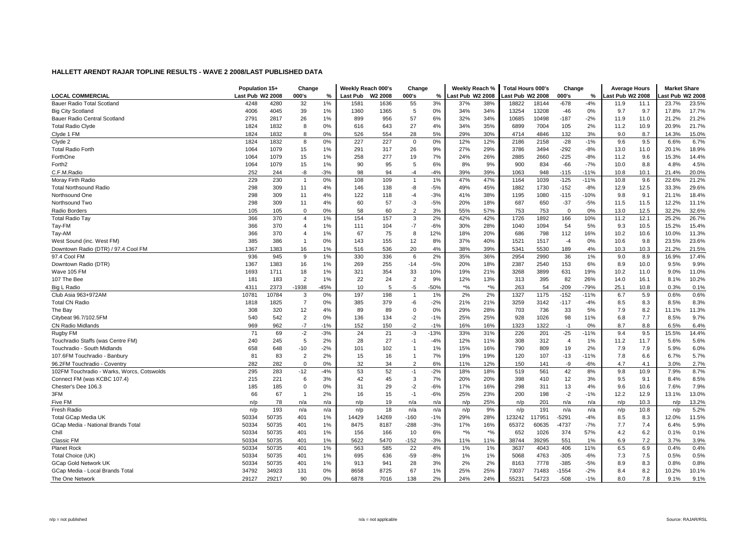|                                            | Population 15+   |       | Change         |       | Weekly Reach 000's |                     | Change         |        | Weekly Reach %  |           | <b>Total Hours 000's</b> |        | Change         |        | <b>Average Hours</b> |      | <b>Market Share</b> |       |
|--------------------------------------------|------------------|-------|----------------|-------|--------------------|---------------------|----------------|--------|-----------------|-----------|--------------------------|--------|----------------|--------|----------------------|------|---------------------|-------|
| <b>LOCAL COMMERCIAL</b>                    | Last Pub W2 2008 |       | 000's          | %     | Last Pub           | W <sub>2</sub> 2008 | 000's          | %      | ast Pub W2 2008 |           | Last Pub W2 2008         |        | 000's          | %      | ast Pub W2 2008      |      | ast Pub W2 2008     |       |
| Bauer Radio Total Scotland                 | 4248             | 4280  | 32             | 1%    | 1581               | 1636                | 55             | 3%     | 37%             | 38%       | 18822                    | 18144  | $-678$         | $-4%$  | 11.9                 | 11.1 | 23.7%               | 23.5% |
| <b>Big City Scotland</b>                   | 4006             | 4045  | 39             | 1%    | 1360               | 1365                | 5              | 0%     | 34%             | 34%       | 13254                    | 13208  | $-46$          | 0%     | 9.7                  | 9.7  | 17.8%               | 17.7% |
| Bauer Radio Central Scotland               | 2791             | 2817  | 26             | 1%    | 899                | 956                 | 57             | 6%     | 32%             | 34%       | 10685                    | 10498  | $-187$         | $-2%$  | 11.9                 | 11.0 | 21.2%               | 21.2% |
| <b>Total Radio Clyde</b>                   | 1824             | 1832  | 8              | 0%    | 616                | 643                 | 27             | 4%     | 34%             | 35%       | 6899                     | 7004   | 105            | 2%     | 11.2                 | 10.9 | 20.9%               | 21.7% |
| Clyde 1 FM                                 | 1824             | 1832  | 8              | 0%    | 526                | 554                 | 28             | 5%     | 29%             | 30%       | 4714                     | 4846   | 132            | 3%     | 9.0                  | 8.7  | 14.3%               | 15.0% |
| Clyde 2                                    | 1824             | 1832  | 8              | 0%    | 227                | 227                 | $\mathbf 0$    | 0%     | 12%             | 12%       | 2186                     | 2158   | $-28$          | $-1%$  | 9.6                  | 9.5  | 6.6%                | 6.7%  |
| <b>Total Radio Forth</b>                   | 1064             | 1079  | 15             | 1%    | 291                | 317                 | 26             | 9%     | 27%             | 29%       | 3786                     | 3494   | $-292$         | -8%    | 13.0                 | 11.0 | 20.1%               | 18.9% |
| ForthOne                                   | 1064             | 1079  | 15             | 1%    | 258                | 277                 | 19             | 7%     | 24%             | 26%       | 2885                     | 2660   | $-225$         | $-8%$  | 11.2                 | 9.6  | 15.3%               | 14.4% |
| Forth <sub>2</sub>                         | 1064             | 1079  | 15             | 1%    | 90                 | 95                  | 5              | 6%     | 8%              | 9%        | 900                      | 834    | $-66$          | $-7%$  | 10.0                 | 8.8  | 4.8%                | 4.5%  |
| C.F.M.Radio                                | 252              | 244   | -8             | $-3%$ | 98                 | 94                  | $-4$           | $-4%$  | 39%             | 39%       | 1063                     | 948    | $-115$         | $-11%$ | 10.8                 | 10.1 | 21.4%               | 20.0% |
| Moray Firth Radio                          | 229              | 230   | -1             | 0%    | 108                | 109                 | -1             | 1%     | 47%             | 47%       | 1164                     | 1039   | $-125$         | $-11%$ | 10.8                 | 9.6  | 22.6%               | 21.2% |
| <b>Total Northsound Radio</b>              | 298              | 309   | 11             | 4%    | 146                | 138                 | -8             | $-5%$  | 49%             | 45%       | 1882                     | 1730   | $-152$         | $-8%$  | 12.9                 | 12.5 | 33.3%               | 29.6% |
| Northsound One                             | 298              | 309   | 11             | 4%    | 122                | 118                 | $-4$           | $-3%$  | 41%             | 38%       | 1195                     | 1080   | $-115$         | $-10%$ | 9.8                  | 9.1  | 21.1%               | 18.4% |
| Northsound Two                             | 298              | 309   | 11             | 4%    | 60                 | 57                  | $-3$           | $-5%$  | 20%             | 18%       | 687                      | 650    | $-37$          | $-5%$  | 11.5                 | 11.5 | 12.2%               | 11.1% |
| Radio Borders                              | 105              | 105   | $\Omega$       | 0%    | 58                 | 60                  | $\overline{2}$ | 3%     | 55%             | 57%       | 753                      | 753    | $\Omega$       | 0%     | 13.0                 | 12.5 | 32.2%               | 32.6% |
| <b>Total Radio Tay</b>                     | 366              | 370   | $\overline{4}$ | 1%    | 154                | 157                 | 3              | 2%     | 42%             | 42%       | 1726                     | 1892   | 166            | 10%    | 11.2                 | 12.1 | 25.2%               | 26.7% |
| Tay-FM                                     | 366              | 370   | $\overline{4}$ | 1%    | 111                | 104                 | $-7$           | $-6%$  | 30%             | 28%       | 1040                     | 1094   | 54             | 5%     | 9.3                  | 10.5 | 15.2%               | 15.4% |
| Tay-AM                                     | 366              | 370   | 4              | 1%    | 67                 | 75                  | 8              | 12%    | 18%             | 20%       | 686                      | 798    | 112            | 16%    | 10.2                 | 10.6 | 10.0%               | 11.3% |
| West Sound (inc. West FM)                  | 385              | 386   | $\overline{1}$ | 0%    | 143                | 155                 | 12             | 8%     | 37%             | 40%       | 1521                     | 1517   | $-4$           | 0%     | 10.6                 | 9.8  | 23.5%               | 23.6% |
| Downtown Radio (DTR) / 97.4 Cool FM        | 1367             | 1383  | 16             | 1%    | 516                | 536                 | 20             | 4%     | 38%             | 39%       | 5341                     | 5530   | 189            | 4%     | 10.3                 | 10.3 | 21.2%               | 21.5% |
| 97.4 Cool FM                               | 936              | 945   | 9              | 1%    | 330                | 336                 | 6              | 2%     | 35%             | 36%       | 2954                     | 2990   | 36             | $1\%$  | 9.0                  | 8.9  | 16.9%               | 17.4% |
|                                            | 1367             | 1383  | 16             | 1%    | 269                | 255                 | -14            | $-5%$  | 20%             | 18%       | 2387                     | 2540   | 153            | 6%     | 8.9                  | 10.0 | 9.5%                | 9.9%  |
| Downtown Radio (DTR)                       |                  |       |                |       |                    |                     |                |        |                 |           |                          |        |                |        |                      |      |                     |       |
| Wave 105 FM                                | 1693             | 1711  | 18             | 1%    | 321                | 354                 | 33             | 10%    | 19%             | 21%       | 3268                     | 3899   | 631            | 19%    | 10.2                 | 11.0 | 9.0%                | 11.0% |
| 107 The Bee                                | 181              | 183   | $\overline{2}$ | 1%    | 22                 | 24                  | $\overline{2}$ | 9%     | 12%             | 13%       | 313                      | 395    | 82             | 26%    | 14.0                 | 16.1 | 8.1%                | 10.2% |
| Big L Radio                                | 4311             | 2373  | -1938          | 45%   | 10                 | 5                   | $-5$           | $-50%$ | $*$ %           | $\star$ % | 263                      | 54     | $-209$         | $-79%$ | 25.1                 | 10.8 | 0.3%                | 0.1%  |
| Club Asia 963+972AM                        | 10781            | 10784 | 3              | 0%    | 197                | 198                 | $\overline{1}$ | 1%     | 2%              | 2%        | 1327                     | 1175   | $-152$         | $-11%$ | 6.7                  | 5.9  | 0.6%                | 0.6%  |
| <b>Total CN Radio</b>                      | 1818             | 1825  | $\overline{7}$ | 0%    | 385                | 379                 | -6             | $-2%$  | 21%             | 21%       | 3259                     | 3142   | $-117$         | $-4%$  | 8.5                  | 8.3  | 8.5%                | 8.3%  |
| The Bay                                    | 308              | 320   | 12             | 4%    | 89                 | 89                  | $\mathbf 0$    | 0%     | 29%             | 28%       | 703                      | 736    | 33             | 5%     | 7.9                  | 8.2  | 11.1%               | 11.3% |
| Citybeat 96.7/102.5FM                      | 540              | 542   | 2              | 0%    | 136                | 134                 | $-2$           | $-1%$  | 25%             | 25%       | 928                      | 1026   | 98             | 11%    | 6.8                  | 7.7  | 8.5%                | 9.7%  |
| <b>CN Radio Midlands</b>                   | 969              | 962   | $-7$           | $-1%$ | 152                | 150                 | $-2$           | $-1%$  | 16%             | 16%       | 1323                     | 1322   | $-1$           | 0%     | 8.7                  | 8.8  | 6.5%                | 6.4%  |
| Rugby FM                                   | 71               | 69    | $-2$           | $-3%$ | 24                 | 21                  | $-3$           | $-13%$ | 33%             | 31%       | 226                      | 201    | $-25$          | $-11%$ | 9.4                  | 9.5  | 15.5%               | 14.4% |
| Touchradio Staffs (was Centre FM)          | 240              | 245   | 5              | 2%    | 28                 | 27                  | $-1$           | $-4%$  | 12%             | 11%       | 308                      | 312    | $\overline{4}$ | 1%     | 11.2                 | 11.7 | 5.6%                | 5.6%  |
| Touchradio - South Midlands                | 658              | 648   | $-10$          | $-2%$ | 101                | 102                 | $\overline{1}$ | 1%     | 15%             | 16%       | 790                      | 809    | 19             | 2%     | 7.9                  | 7.9  | 5.9%                | 6.0%  |
| 107.6FM Touchradio - Banbury               | 81               | 83    | $\overline{2}$ | 2%    | 15                 | 16                  | $\overline{1}$ | 7%     | 19%             | 19%       | 120                      | 107    | $-13$          | $-11%$ | 7.8                  | 6.6  | 6.7%                | 5.7%  |
| 96.2FM Touchradio - Coventry               | 282              | 282   | $\Omega$       | 0%    | 32                 | 34                  | $\overline{2}$ | 6%     | 11%             | 12%       | 150                      | 141    | -9             | $-6%$  | 4.7                  | 4.1  | 3.0%                | 2.7%  |
| 102FM Touchradio - Warks, Worcs, Cotswolds | 295              | 283   | $-12$          | $-4%$ | 53                 | 52                  | $-1$           | $-2%$  | 18%             | 18%       | 519                      | 561    | 42             | 8%     | 9.8                  | 10.9 | 7.9%                | 8.7%  |
| Connect FM (was KCBC 107.4)                | 215              | 221   | 6              | 3%    | 42                 | 45                  | 3              | 7%     | 20%             | 20%       | 398                      | 410    | 12             | 3%     | 9.5                  | 9.1  | 8.4%                | 8.5%  |
| Chester's Dee 106.3                        | 185              | 185   | $\mathbf 0$    | 0%    | 31                 | 29                  | $-2$           | $-6%$  | 17%             | 16%       | 298                      | 311    | 13             | 4%     | 9.6                  | 10.6 | 7.6%                | 7.9%  |
| 3FM                                        | 66               | 67    | $\overline{1}$ | 2%    | 16                 | 15                  | $-1$           | $-6%$  | 25%             | 23%       | 200                      | 198    | $-2$           | $-1%$  | 12.2                 | 12.9 | 13.1%               | 13.0% |
| Five FM                                    | n/p              | 78    | n/a            | n/a   | n/p                | 19                  | n/a            | n/a    | n/p             | 25%       | n/p                      | 201    | n/a            | n/a    | n/p                  | 10.3 | n/p                 | 13.2% |
| Fresh Radio                                | n/p              | 193   | n/a            | n/a   | n/p                | 18                  | n/a            | n/a    | n/p             | 9%        | n/p                      | 191    | n/a            | n/a    | n/p                  | 10.8 | n/p                 | 5.2%  |
| Total GCap Media UK                        | 50334            | 50735 | 401            | 1%    | 14429              | 14269               | $-160$         | $-1%$  | 29%             | 28%       | 123242                   | 117951 | $-5291$        | $-4%$  | 8.5                  | 8.3  | 12.0%               | 11.5% |
| GCap Media - National Brands Total         | 50334            | 50735 | 401            | 1%    | 8475               | 8187                | $-288$         | $-3%$  | 17%             | 16%       | 65372                    | 60635  | $-4737$        | $-7%$  | 7.7                  | 7.4  | 6.4%                | 5.9%  |
| Chill                                      | 50334            | 50735 | 401            | 1%    | 156                | 166                 | 10             | 6%     | $*_{\%}$        | $*$ %     | 652                      | 1026   | 374            | 57%    | 4.2                  | 6.2  | 0.1%                | 0.1%  |
| Classic FM                                 | 50334            | 50735 | 401            | 1%    | 5622               | 5470                | $-152$         | $-3%$  | 11%             | 11%       | 38744                    | 39295  | 551            | 1%     | 6.9                  | 7.2  | 3.7%                | 3.9%  |
| <b>Planet Rock</b>                         | 50334            | 50735 | 401            | 1%    | 563                | 585                 | 22             | 4%     | 1%              | 1%        | 3637                     | 4043   | 406            | 11%    | 6.5                  | 6.9  | 0.4%                | 0.4%  |
| Total Choice (UK)                          | 50334            | 50735 | 401            | 1%    | 695                | 636                 | $-59$          | $-8%$  | 1%              | 1%        | 5068                     | 4763   | $-305$         | $-6%$  | 7.3                  | 7.5  | 0.5%                | 0.5%  |
| <b>GCap Gold Network UK</b>                | 50334            | 50735 | 401            | 1%    | 913                | 941                 | 28             | 3%     | 2%              | 2%        | 8163                     | 7778   | $-385$         | $-5%$  | 8.9                  | 8.3  | 0.8%                | 0.8%  |
| GCap Media - Local Brands Total            | 34792            | 34923 | 131            | 0%    | 8658               | 8725                | 67             | 1%     | 25%             | 25%       | 73037                    | 71483  | $-1554$        | $-2%$  | 8.4                  | 8.2  | 10.2%               | 10.1% |
| The One Network                            | 29127            | 29217 | 90             | 0%    | 6878               | 7016                | 138            | 2%     | 24%             | 24%       | 55231                    | 54723  | $-508$         | $-1%$  | 8.0                  | 7.8  | 9.1%                | 9.1%  |
|                                            |                  |       |                |       |                    |                     |                |        |                 |           |                          |        |                |        |                      |      |                     |       |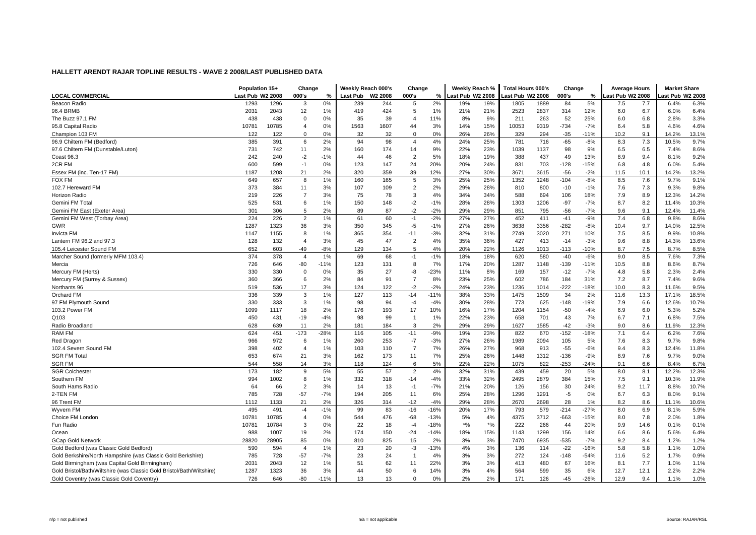|                                                                       | Population 15+   |       | Change         |        | Weekly Reach 000's |                     | Change         |        | Weekly Reach %   |       | <b>Total Hours 000's</b> |      | Change |        | <b>Average Hours</b> |      | <b>Market Share</b> |       |
|-----------------------------------------------------------------------|------------------|-------|----------------|--------|--------------------|---------------------|----------------|--------|------------------|-------|--------------------------|------|--------|--------|----------------------|------|---------------------|-------|
| <b>LOCAL COMMERCIAL</b>                                               | Last Pub W2 2008 |       | 000's          | $\%$   | Last Pub           | W <sub>2</sub> 2008 | 000's          | %      | Last Pub W2 2008 |       | Last Pub W2 2008         |      | 000's  | %      | ast Pub W2 2008      |      | ast Pub W2 2008     |       |
| Beacon Radio                                                          | 1293             | 1296  | 3              | 0%     | 239                | 244                 | 5              | 2%     | 19%              | 19%   | 1805                     | 1889 | 84     | 5%     | 7.5                  | 7.7  | 6.4%                | 6.3%  |
| 96.4 BRMB                                                             | 2031             | 2043  | 12             | 1%     | 419                | 424                 | 5              | 1%     | 21%              | 21%   | 2523                     | 2837 | 314    | 12%    | 6.0                  | 6.7  | 6.0%                | 6.4%  |
| The Buzz 97.1 FM                                                      | 438              | 438   | 0              | 0%     | 35                 | 39                  | $\overline{4}$ | 11%    | 8%               | 9%    | 211                      | 263  | 52     | 25%    | 6.0                  | 6.8  | 2.8%                | 3.3%  |
| 95.8 Capital Radio                                                    | 10781            | 10785 | 4              | 0%     | 1563               | 1607                | 44             | 3%     | 14%              | 15%   | 10053                    | 9319 | $-734$ | $-7%$  | 6.4                  | 5.8  | 4.6%                | 4.6%  |
| Champion 103 FM                                                       | 122              | 122   | $\Omega$       | 0%     | 32                 | 32                  | $\Omega$       | 0%     | 26%              | 26%   | 329                      | 294  | $-35$  | $-11%$ | 10.2                 | 9.1  | 14.2%               | 13.1% |
| 96.9 Chiltern FM (Bedford)                                            | 385              | 391   | 6              | 2%     | 94                 | 98                  | $\overline{4}$ | 4%     | 24%              | 25%   | 781                      | 716  | $-65$  | $-8%$  | 8.3                  | 7.3  | 10.5%               | 9.7%  |
| 97.6 Chiltern FM (Dunstable/Luton)                                    | 731              | 742   | 11             | 2%     | 160                | 174                 | 14             | 9%     | 22%              | 23%   | 1039                     | 1137 | 98     | 9%     | 6.5                  | 6.5  | 7.4%                | 8.6%  |
| Coast 96.3                                                            | 242              | 240   | $-2$           | $-1%$  | 44                 | 46                  | $\overline{2}$ | 5%     | 18%              | 19%   | 388                      | 437  | 49     | 13%    | 8.9                  | 9.4  | 8.1%                | 9.2%  |
| 2CR FM                                                                | 600              | 599   | $-1$           | 0%     | 123                | 147                 | 24             | 20%    | 20%              | 24%   | 831                      | 703  | $-128$ | $-15%$ | 6.8                  | 4.8  | 6.0%                | 5.4%  |
| Essex FM (inc. Ten-17 FM)                                             | 1187             | 1208  | 21             | 2%     | 320                | 359                 | 39             | 12%    | 27%              | 30%   | 3671                     | 3615 | $-56$  | $-2%$  | 11.5                 | 10.1 | 14.2%               | 13.2% |
| <b>FOX FM</b>                                                         | 649              | 657   | 8              | 1%     | 160                | 165                 | 5              | 3%     | 25%              | 25%   | 1352                     | 1248 | $-104$ | $-8%$  | 8.5                  | 7.6  | 9.7%                | 9.1%  |
| 102.7 Hereward FM                                                     | 373              | 384   | 11             | 3%     | 107                | 109                 | $\overline{2}$ | 2%     | 29%              | 28%   | 810                      | 800  | $-10$  | $-1%$  | 7.6                  | 7.3  | 9.3%                | 9.8%  |
| <b>Horizon Radio</b>                                                  | 219              | 226   | $\overline{7}$ | 3%     | 75                 | 78                  | 3              | 4%     | 34%              | 34%   | 588                      | 694  | 106    | 18%    | 7.9                  | 8.9  | 12.3%               | 14.2% |
| Gemini FM Tota                                                        | 525              | 531   | 6              | 1%     | 150                | 148                 | $-2$           | $-1%$  | 28%              | 28%   | 1303                     | 1206 | $-97$  | $-7%$  | 8.7                  | 8.2  | 11.4%               | 10.3% |
| Gemini FM East (Exeter Area)                                          | 301              | 306   | 5              | 2%     | 89                 | 87                  | $-2$           | $-2%$  | 29%              | 29%   | 851                      | 795  | $-56$  | $-7%$  | 9.6                  | 9.1  | 12.4%               | 11.4% |
| Gemini FM West (Torbay Area)                                          | 224              | 226   | $\overline{2}$ | 1%     | 61                 | 60                  | $-1$           | $-2%$  | 27%              | 27%   | 452                      | 411  | $-41$  | $-9%$  | 7.4                  | 6.8  | 9.8%                | 8.6%  |
| GWR                                                                   | 1287             | 1323  | 36             | 3%     | 350                | 345                 | -5             | $-1%$  | 27%              | 26%   | 3638                     | 3356 | $-282$ | -8%    | 10.4                 | 9.7  | 14.0%               | 12.5% |
| Invicta FM                                                            | 1147             | 1155  | 8              | 1%     | 365                | 354                 | $-11$          | $-3%$  | 32%              | 31%   | 2749                     | 3020 | 271    | 10%    | 7.5                  | 8.5  | 9.9%                | 10.8% |
| Lantern FM 96.2 and 97.3                                              | 128              | 132   | $\overline{4}$ | 3%     | 45                 | 47                  | $\overline{2}$ | 4%     | 35%              | 36%   | 427                      | 413  | $-14$  | $-3%$  | 9.6                  | 8.8  | 14.3%               | 13.6% |
| 105.4 Leicester Sound FM                                              | 652              | 603   | -49            | $-8%$  | 129                | 134                 | 5              | 4%     | 20%              | 22%   | 1126                     | 1013 | $-113$ | $-10%$ | 8.7                  | 7.5  | 8.7%                | 8.5%  |
| Marcher Sound (formerly MFM 103.4)                                    | 374              | 378   | $\overline{4}$ | 1%     | 69                 | 68                  | $-1$           | $-1%$  | 18%              | 18%   | 620                      | 580  | $-40$  | $-6%$  | 9.0                  | 8.5  | 7.6%                | 7.3%  |
| Mercia                                                                | 726              | 646   | -80            | $-11%$ | 123                | 131                 | 8              | 7%     | 17%              | 20%   | 1287                     | 1148 | $-139$ | $-11%$ | 10.5                 | 8.8  | 8.6%                | 8.7%  |
| Mercury FM (Herts)                                                    | 330              | 330   | 0              | 0%     | 35                 | 27                  | -8             | $-23%$ | 11%              | 8%    | 169                      | 157  | $-12$  | $-7%$  | 4.8                  | 5.8  | 2.3%                | 2.4%  |
| Mercury FM (Surrey & Sussex)                                          | 360              | 366   | 6              | 2%     | 84                 | 91                  | $\overline{7}$ | 8%     | 23%              | 25%   | 602                      | 786  | 184    | 31%    | 7.2                  | 8.7  | 7.4%                | 9.6%  |
| Northants 96                                                          | 519              | 536   | 17             | 3%     | 124                | 122                 | $-2$           | $-2%$  | 24%              | 23%   | 1236                     | 1014 | $-222$ | $-18%$ | 10.0                 | 8.3  | 11.6%               | 9.5%  |
| Orchard FM                                                            | 336              | 339   | 3              | 1%     | 127                | 113                 | $-14$          | $-11%$ | 38%              | 33%   | 1475                     | 1509 | 34     | 2%     | 11.6                 | 13.3 | 17.1%               | 18.5% |
| 97 FM Plymouth Sound                                                  | 330              | 333   | 3              | 1%     | 98                 | 94                  | $-4$           | $-4%$  | 30%              | 28%   | 773                      | 625  | $-148$ | $-19%$ | 7.9                  | 6.6  | 12.6%               | 10.7% |
| 103.2 Power FM                                                        | 1099             | 1117  | 18             | 2%     | 176                | 193                 | 17             | 10%    | 16%              | 17%   | 1204                     | 1154 | $-50$  | $-4%$  | 6.9                  | 6.0  | 5.3%                | 5.2%  |
| Q103                                                                  | 450              | 431   | -19            | $-4%$  | 98                 | 99                  | $\overline{1}$ | 1%     | 22%              | 23%   | 658                      | 701  | 43     | 7%     | 6.7                  | 7.1  | 6.8%                | 7.5%  |
| Radio Broadland                                                       | 628              | 639   | 11             | 2%     | 181                | 184                 | 3              | 2%     | 29%              | 29%   | 1627                     | 1585 | $-42$  | $-3%$  | 9.0                  | 8.6  | 11.9%               | 12.3% |
| <b>RAM FM</b>                                                         | 624              | 451   | $-173$         | $-28%$ | 116                | 105                 | $-11$          | $-9%$  | 19%              | 23%   | 822                      | 670  | $-152$ | $-18%$ | 7.1                  | 6.4  | 6.2%                | 7.6%  |
| Red Dragon                                                            | 966              | 972   | 6              | 1%     | 260                | 253                 | $-7$           | $-3%$  | 27%              | 26%   | 1989                     | 2094 | 105    | 5%     | 7.6                  | 8.3  | 9.7%                | 9.8%  |
| 102.4 Severn Sound FM                                                 | 398              | 402   | $\overline{4}$ | 1%     | 103                | 110                 | $\overline{7}$ | 7%     | 26%              | 27%   | 968                      | 913  | $-55$  | $-6%$  | 9.4                  | 8.3  | 12.4%               | 11.8% |
| <b>SGR FM Total</b>                                                   | 653              | 674   | 21             | 3%     | 162                | 173                 | 11             | 7%     | 25%              | 26%   | 1448                     | 1312 | $-136$ | $-9%$  | 8.9                  | 7.6  | 9.7%                | 9.0%  |
| <b>SGR FM</b>                                                         | 544              | 558   | 14             | 3%     | 118                | 124                 | 6              | 5%     | 22%              | 22%   | 1075                     | 822  | $-253$ | -24%   | 9.1                  | 6.6  | 8.4%                | 6.7%  |
| <b>SGR Colchester</b>                                                 | 173              | 182   | 9              | 5%     | 55                 | 57                  | $\overline{2}$ | 4%     | 32%              | 31%   | 439                      | 459  | 20     | 5%     | 8.0                  | 8.1  | 12.2%               | 12.3% |
| Southern FM                                                           | 994              | 1002  | 8              | 1%     | 332                | 318                 | $-14$          | $-4%$  | 33%              | 32%   | 2495                     | 2879 | 384    | 15%    | 7.5                  | 9.1  | 10.3%               | 11.9% |
| South Hams Radio                                                      | 64               | 66    | $\overline{2}$ | 3%     | 14                 | 13                  | $-1$           | $-7%$  | 21%              | 20%   | 126                      | 156  | 30     | 24%    | 9.2                  | 11.7 | 8.8%                | 10.7% |
| 2-TEN FM                                                              | 785              | 728   | $-57$          | $-7%$  | 194                | 205                 | 11             | 6%     | 25%              | 28%   | 1296                     | 1291 | $-5$   | 0%     | 6.7                  | 6.3  | 8.0%                | 9.1%  |
| 96 Trent FM                                                           | 1112             | 1133  | 21             | 2%     | 326                | 314                 | $-12$          | $-4%$  | 29%              | 28%   | 2670                     | 2698 | 28     | 1%     | 8.2                  | 8.6  | 11.1%               | 10.6% |
| Wyvern FM                                                             | 495              | 491   | $-4$           | $-1%$  | 99                 | 83                  | $-16$          | $-16%$ | 20%              | 17%   | 793                      | 579  | $-214$ | $-27%$ | 8.0                  | 6.9  | 8.1%                | 5.9%  |
| Choice FM London                                                      | 10781            | 10785 | $\overline{4}$ | 0%     | 544                | 476                 | -68            | $-13%$ | 5%               | 4%    | 4375                     | 3712 | $-663$ | $-15%$ | 8.0                  | 7.8  | 2.0%                | 1.8%  |
| Fun Radio                                                             | 10781            | 10784 | 3              | 0%     | 22                 | 18                  | $-4$           | $-18%$ | $*$ %            | $*$ % | 222                      | 266  | 44     | 20%    | 9.9                  | 14.6 | 0.1%                | 0.1%  |
| Ocean                                                                 | 988              | 1007  | 19             | 2%     | 174                | 150                 | $-24$          | $-14%$ | 18%              | 15%   | 1143                     | 1299 | 156    | 14%    | 6.6                  | 8.6  | 5.6%                | 6.4%  |
| <b>GCap Gold Network</b>                                              | 28820            | 28905 | 85             | 0%     | 810                | 825                 | 15             | 2%     | 3%               | 3%    | 7470                     | 6935 | $-535$ | $-7%$  | 9.2                  | 8.4  | 1.2%                | 1.2%  |
| Gold Bedford (was Classic Gold Bedford)                               | 590              | 594   | $\overline{4}$ | 1%     | 23                 | 20                  | $-3$           | $-13%$ | 4%               | 3%    | 136                      | 114  | $-22$  | $-16%$ | 5.8                  | 5.8  | 1.1%                | 1.0%  |
| Gold Berkshire/North Hampshire (was Classic Gold Berkshire)           | 785              | 728   | $-57$          | $-7%$  | 23                 | 24                  | $\overline{1}$ | 4%     | 3%               | 3%    | 272                      | 124  | $-148$ | $-54%$ | 11.6                 | 5.2  | 1.7%                | 0.9%  |
| Gold Birmingham (was Capital Gold Birmingham)                         | 2031             | 2043  | 12             | 1%     | 51                 | 62                  | 11             | 22%    | 3%               | 3%    | 413                      | 480  | 67     | 16%    | 8.1                  | 7.7  | 1.0%                | 1.1%  |
| Gold Bristol/Bath/Wiltshire (was Classic Gold Bristol/Bath/Wiltshire) | 1287             | 1323  | 36             | 3%     | 44                 | 50                  | 6              | 14%    | 3%               | 4%    | 564                      | 599  | 35     | 6%     | 12.7                 | 12.1 | 2.2%                | 2.2%  |
| Gold Coventry (was Classic Gold Coventry)                             | 726              | 646   | -80            | $-11%$ | 13                 | 13                  | $\Omega$       | 0%     | 2%               | 2%    | 171                      | 126  | -45    | $-26%$ | 12.9                 | 9.4  | 1.1%                | 1.0%  |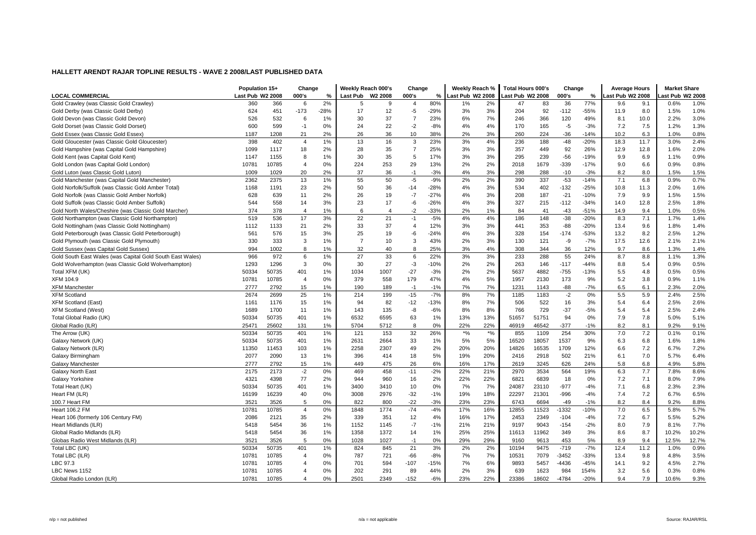|                                                           | Population 15+   |       | Change         |        | Weekly Reach 000's |                | Change         |        | Weekly Reach %   |        | Total Hours 000's |       | Change  |        | <b>Average Hours</b> |      | <b>Market Share</b> |       |
|-----------------------------------------------------------|------------------|-------|----------------|--------|--------------------|----------------|----------------|--------|------------------|--------|-------------------|-------|---------|--------|----------------------|------|---------------------|-------|
| <b>LOCAL COMMERCIAL</b>                                   | Last Pub W2 2008 |       | 000's          | %      | <b>Last Pub</b>    | W2 2008        | 000's          | %      | Last Pub W2 2008 |        | Last Pub W2 2008  |       | 000's   | %      | ast Pub W2 2008      |      | ast Pub W2 2008     |       |
| Gold Crawley (was Classic Gold Crawley)                   | 360              | 366   | 6              | 2%     | 5                  | 9              | 4              | 80%    | 1%               | 2%     | 47                | 83    | 36      | 77%    | 9.6                  | 9.1  | 0.6%                | 1.0%  |
| Gold Derby (was Classic Gold Derby)                       | 624              | 451   | $-173$         | $-28%$ | 17                 | 12             | $-5$           | $-29%$ | 3%               | 3%     | 204               | 92    | $-112$  | $-55%$ | 11.9                 | 8.0  | 1.5%                | 1.0%  |
| Gold Devon (was Classic Gold Devon)                       | 526              | 532   | 6              | 1%     | 30                 | 37             | $\overline{7}$ | 23%    | 6%               | 7%     | 246               | 366   | 120     | 49%    | 8.1                  | 10.0 | 2.2%                | 3.0%  |
| Gold Dorset (was Classic Gold Dorset)                     | 600              | 599   | $-1$           | 0%     | 24                 | 22             | $-2$           | $-8%$  | 4%               | 4%     | 170               | 165   | $-5$    | $-3%$  | 7.2                  | 7.5  | 1.2%                | 1.3%  |
| Gold Essex (was Classic Gold Essex)                       | 1187             | 1208  | 21             | 2%     | 26                 | 36             | 10             | 38%    | 2%               | 3%     | 260               | 224   | $-36$   | $-14%$ | 10.2                 | 6.3  | 1.0%                | 0.8%  |
| Gold Gloucester (was Classic Gold Gloucester)             | 398              | 402   | $\overline{4}$ | 1%     | 13                 | 16             | 3              | 23%    | 3%               | 4%     | 236               | 188   | $-48$   | $-20%$ | 18.3                 | 11.7 | 3.0%                | 2.4%  |
| Gold Hampshire (was Capital Gold Hampshire)               | 1099             | 1117  | 18             | 2%     | 28                 | 35             | $\overline{7}$ | 25%    | 3%               | 3%     | 357               | 449   | 92      | 26%    | 12.9                 | 12.8 | 1.6%                | 2.0%  |
| Gold Kent (was Capital Gold Kent)                         | 1147             | 1155  | 8              | 1%     | 30                 | 35             | 5              | 17%    | 3%               | 3%     | 295               | 239   | $-56$   | $-19%$ | 9.9                  | 6.9  | 1.1%                | 0.9%  |
| Gold London (was Capital Gold London)                     | 10781            | 10785 | $\overline{4}$ | 0%     | 224                | 253            | 29             | 13%    | 2%               | 2%     | 2018              | 1679  | $-339$  | $-17%$ | 9.0                  | 6.6  | 0.9%                | 0.8%  |
| Gold Luton (was Classic Gold Luton)                       | 1009             | 1029  | 20             | 2%     | 37                 | 36             | $-1$           | $-3%$  | 4%               | 3%     | 298               | 288   | $-10$   | $-3%$  | 8.2                  | 8.0  | 1.5%                | 1.5%  |
| Gold Manchester (was Capital Gold Manchester)             | 2362             | 2375  | 13             | 1%     | 55                 | 50             | $-5$           | $-9%$  | 2%               | 2%     | 390               | 337   | $-53$   | $-14%$ | 7.1                  | 6.8  | 0.9%                | 0.7%  |
| Gold Norfolk/Suffolk (was Classic Gold Amber Total)       | 1168             | 1191  | 23             | 2%     | 50                 | 36             | $-14$          | $-28%$ | 4%               | 3%     | 534               | 402   | $-132$  | $-25%$ | 10.8                 | 11.3 | 2.0%                | 1.6%  |
| Gold Norfolk (was Classic Gold Amber Norfolk)             | 628              | 639   | 11             | 2%     | 26                 | 19             | $-7$           | $-27%$ | 4%               | 3%     | 208               | 187   | $-21$   | $-10%$ | 7.9                  | 9.9  | 1.5%                | 1.5%  |
| Gold Suffolk (was Classic Gold Amber Suffolk)             | 544              | 558   | 14             | 3%     | 23                 | 17             | -6             | $-26%$ | 4%               | 3%     | 327               | 215   | $-112$  | $-34%$ | 14.0                 | 12.8 | 2.5%                | 1.8%  |
| Gold North Wales/Cheshire (was Classic Gold Marcher)      | 374              | 378   | $\overline{4}$ | 1%     | 6                  | $\overline{4}$ | $-2$           | $-33%$ | 2%               | 1%     | 84                | 41    | $-43$   | $-51%$ | 14.9                 | 9.4  | 1.0%                | 0.5%  |
| Gold Northampton (was Classic Gold Northampton)           | 519              | 536   | 17             | 3%     | 22                 | 21             | $-1$           | $-5%$  | 4%               | 4%     | 186               | 148   | $-38$   | $-20%$ | 8.3                  | 7.1  | 1.7%                | 1.4%  |
| Gold Nottingham (was Classic Gold Nottingham)             | 1112             | 1133  | 21             | 2%     | 33                 | 37             | $\overline{4}$ | 12%    | 3%               | 3%     | 441               | 353   | $-88$   | $-20%$ | 13.4                 | 9.6  | 1.8%                | 1.4%  |
| Gold Peterborough (was Classic Gold Peterborough)         | 561              | 576   | 15             | 3%     | 25                 | 19             | -6             | $-24%$ | 4%               | 3%     | 328               | 154   | $-174$  | $-53%$ | 13.2                 | 8.2  | 2.5%                | 1.2%  |
| Gold Plymouth (was Classic Gold Plymouth)                 | 330              | 333   | 3              | 1%     | $\overline{7}$     | 10             | 3              | 43%    | 2%               | 3%     | 130               | 121   | -9      | $-7%$  | 17.5                 | 12.6 | 2.1%                | 2.1%  |
| Gold Sussex (was Capital Gold Sussex)                     | 994              | 1002  | 8              | 1%     | 32                 | 40             | 8              | 25%    | 3%               | 4%     | 308               | 344   | 36      | 12%    | 9.7                  | 8.6  | 1.3%                | 1.4%  |
| Gold South East Wales (was Capital Gold South East Wales) | 966              | 972   | 6              | 1%     | 27                 | 33             | 6              | 22%    | 3%               | 3%     | 233               | 288   | 55      | 24%    | 8.7                  | 8.8  | 1.1%                | 1.3%  |
| Gold Wolverhampton (was Classic Gold Wolverhampton)       | 1293             | 1296  | 3              | 0%     | 30                 | 27             | $-3$           | $-10%$ | 2%               | 2%     | 263               | 146   | $-117$  | $-44%$ | 8.8                  | 5.4  | 0.9%                | 0.5%  |
| Total XFM (UK)                                            | 50334            | 50735 | 401            | 1%     | 1034               | 1007           | $-27$          | $-3%$  | 2%               | 2%     | 5637              | 4882  | $-755$  | $-13%$ | 5.5                  | 4.8  | 0.5%                | 0.5%  |
| <b>XFM 104.9</b>                                          | 10781            | 10785 | $\overline{4}$ | 0%     | 379                | 558            | 179            | 47%    | 4%               | 5%     | 1957              | 2130  | 173     | 9%     | 5.2                  | 3.8  | 0.9%                | 1.1%  |
| <b>XFM Manchester</b>                                     | 2777             | 2792  | 15             | 1%     | 190                | 189            | $-1$           | $-1%$  | 7%               | 7%     | 1231              | 1143  | $-88$   | $-7%$  | 6.5                  | 6.1  | 2.3%                | 2.0%  |
| <b>XFM Scotland</b>                                       | 2674             | 2699  | 25             | 1%     | 214                | 199            | $-15$          | $-7%$  | 8%               | 7%     | 1185              | 1183  | $-2$    | 0%     | 5.5                  | 5.9  | 2.4%                | 2.5%  |
| XFM Scotland (East)                                       | 1161             | 1176  | 15             | 1%     | 94                 | 82             | $-12$          | $-13%$ | 8%               | 7%     | 506               | 522   | 16      | 3%     | 5.4                  | 6.4  | 2.5%                | 2.6%  |
| <b>XFM Scotland (West)</b>                                | 1689             | 1700  | 11             | 1%     | 143                | 135            | -8             | $-6%$  | 8%               | 8%     | 766               | 729   | $-37$   | $-5%$  | 5.4                  | 5.4  | 2.5%                | 2.4%  |
| Total Global Radio (UK)                                   | 50334            | 50735 | 401            | 1%     | 6532               | 6595           | 63             | 1%     | 13%              | 13%    | 51657             | 51751 | 94      | 0%     | 7.9                  | 7.8  | 5.0%                | 5.1%  |
| Global Radio (ILR)                                        | 25471            | 25602 | 131            | 1%     | 5704               | 5712           | 8              | 0%     | 22%              | 22%    | 46919             | 46542 | $-377$  | $-1%$  | 8.2                  | 8.1  | 9.2%                | 9.1%  |
| The Arrow (UK)                                            | 50334            | 50735 | 401            | 1%     | 121                | 153            | 32             | 26%    | $^{\star}$ %     | $*9/6$ | 855               | 1109  | 254     | 30%    | 7.0                  | 7.2  | 0.1%                | 0.1%  |
| Galaxy Network (UK)                                       | 50334            | 50735 | 401            | 1%     | 2631               | 2664           | 33             | 1%     | 5%               | 5%     | 16520             | 18057 | 1537    | 9%     | 6.3                  | 6.8  | 1.6%                | 1.8%  |
| Galaxy Network (ILR)                                      | 11350            | 11453 | 103            | 1%     | 2258               | 2307           | 49             | 2%     | 20%              | 20%    | 14826             | 16535 | 1709    | 12%    | 6.6                  | 7.2  | 6.7%                | 7.2%  |
| Galaxy Birmingham                                         | 2077             | 2090  | 13             | 1%     | 396                | 414            | 18             | 5%     | 19%              | 20%    | 2416              | 2918  | 502     | 21%    | 6.1                  | 7.0  | 5.7%                | 6.4%  |
| Galaxy Manchester                                         | 2777             | 2792  | 15             | 1%     | 449                | 475            | 26             | 6%     | 16%              | 17%    | 2619              | 3245  | 626     | 24%    | 5.8                  | 6.8  | 4.9%                | 5.8%  |
| <b>Galaxy North East</b>                                  | 2175             | 2173  | $-2$           | 0%     | 469                | 458            | $-11$          | $-2%$  | 22%              | 21%    | 2970              | 3534  | 564     | 19%    | 6.3                  | 7.7  | 7.8%                | 8.6%  |
| Galaxy Yorkshire                                          | 4321             | 4398  | 77             | 2%     | 944                | 960            | 16             | 2%     | 22%              | 22%    | 6821              | 6839  | 18      | 0%     | 7.2                  | 7.1  | 8.0%                | 7.9%  |
| Total Heart (UK)                                          | 50334            | 50735 | 401            | 1%     | 3400               | 3410           | 10             | 0%     | 7%               | 7%     | 24087             | 23110 | $-977$  | $-4%$  | 7.1                  | 6.8  | 2.3%                | 2.3%  |
| Heart FM (ILR)                                            | 16199            | 16239 | 40             | 0%     | 3008               | 2976           | $-32$          | $-1%$  | 19%              | 18%    | 22297             | 21301 | -996    | $-4%$  | 7.4                  | 7.2  | 6.7%                | 6.5%  |
| 100.7 Heart FM                                            | 3521             | 3526  | 5              | 0%     | 822                | 800            | $-22$          | $-3%$  | 23%              | 23%    | 6743              | 6694  | $-49$   | $-1%$  | 8.2                  | 8.4  | 9.2%                | 8.8%  |
| <b>Heart 106.2 FM</b>                                     | 10781            | 10785 | $\overline{4}$ | 0%     | 1848               | 1774           | $-74$          | $-4%$  | 17%              | 16%    | 12855             | 11523 | $-1332$ | $-10%$ | 7.0                  | 6.5  | 5.8%                | 5.7%  |
| Heart 106 (formerly 106 Century FM)                       | 2086             | 2121  | 35             | 2%     | 339                | 351            | 12             | 4%     | 16%              | 17%    | 2453              | 2349  | $-104$  | $-4%$  | 7.2                  | 6.7  | 5.5%                | 5.2%  |
| Heart Midlands (ILR)                                      | 5418             | 5454  | 36             | 1%     | 1152               | 1145           | $-7$           | $-1%$  | 21%              | 21%    | 9197              | 9043  | $-154$  | $-2%$  | 8.0                  | 7.9  | 8.1%                | 7.7%  |
| Global Radio Midlands (ILR)                               | 5418             | 5454  | 36             | 1%     | 1358               | 1372           | 14             | 1%     | 25%              | 25%    | 11613             | 11962 | 349     | 3%     | 8.6                  | 8.7  | 10.2%               | 10.2% |
| Globas Radio West Midlands (ILR)                          | 3521             | 3526  | 5              | 0%     | 1028               | 1027           | $-1$           | 0%     | 29%              | 29%    | 9160              | 9613  | 453     | 5%     | 8.9                  | 9.4  | 12.5%               | 12.7% |
| Total LBC (UK)                                            | 50334            | 50735 | 401            | 1%     | 824                | 845            | 21             | 3%     | 2%               | 2%     | 10194             | 9475  | $-719$  | $-7%$  | 12.4                 | 11.2 | 1.0%                | 0.9%  |
| Total LBC (ILR)                                           | 10781            | 10785 | $\overline{4}$ | 0%     | 787                | 721            | $-66$          | $-8%$  | 7%               | 7%     | 10531             | 7079  | $-3452$ | $-33%$ | 13.4                 | 9.8  | 4.8%                | 3.5%  |
| LBC 97.3                                                  | 10781            | 10785 | $\overline{4}$ | 0%     | 701                | 594            | $-107$         | $-15%$ | 7%               | 6%     | 9893              | 5457  | $-4436$ | $-45%$ | 14.1                 | 9.2  | 4.5%                | 2.7%  |
| LBC News 1152                                             | 10781            | 10785 | 4              | 0%     | 202                | 291            | 89             | 44%    | 2%               | 3%     | 639               | 1623  | 984     | 154%   | 3.2                  | 5.6  | 0.3%                | 0.8%  |
| Global Radio London (ILR)                                 | 10781            | 10785 | 4              | 0%     | 2501               | 2349           | $-152$         | $-6%$  | 23%              | 22%    | 23386             | 18602 | $-4784$ | $-20%$ | 9.4                  | 7.9  | 10.6%               | 9.3%  |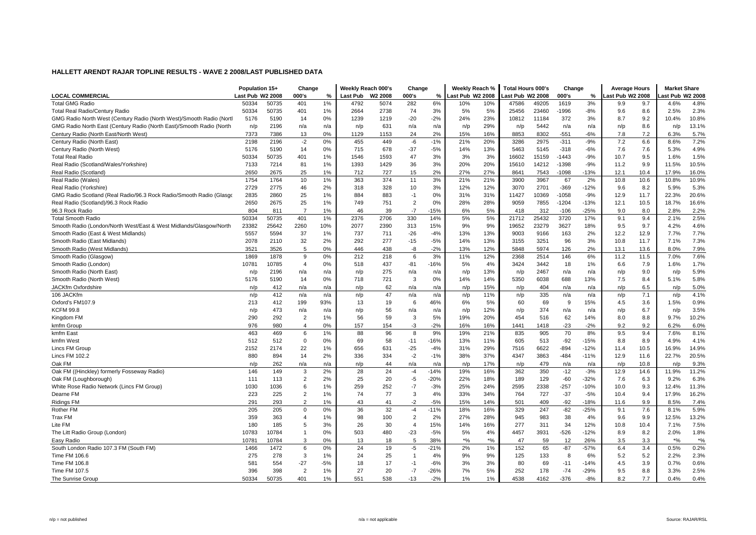|                                                                      | Population 15+   |       | Change         |       | Weekly Reach 000's |                     | Change         |        | Weekly Reach %   |                   | <b>Total Hours 000's</b> |       | Change  |        | <b>Average Hours</b> |      | <b>Market Share</b> |       |
|----------------------------------------------------------------------|------------------|-------|----------------|-------|--------------------|---------------------|----------------|--------|------------------|-------------------|--------------------------|-------|---------|--------|----------------------|------|---------------------|-------|
| <b>LOCAL COMMERCIAL</b>                                              | Last Pub W2 2008 |       | 000's          | %     | <b>Last Pub</b>    | W <sub>2</sub> 2008 | 000's          | %      | Last Pub W2 2008 |                   | Last Pub W2 2008         |       | 000's   | %      | ast Pub W2 2008      |      | ast Pub W2 2008     |       |
| <b>Total GMG Radio</b>                                               | 50334            | 50735 | 401            | 1%    | 4792               | 5074                | 282            | 6%     | 10%              | 10%               | 47586                    | 49205 | 1619    | 3%     | 9.9                  | 9.7  | 4.6%                | 4.8%  |
| <b>Total Real Radio/Century Radio</b>                                | 50334            | 50735 | 401            | 1%    | 2664               | 2738                | 74             | 3%     | 5%               | 5%                | 25456                    | 23460 | -1996   | $-8%$  | 9.6                  | 8.6  | 2.5%                | 2.3%  |
| GMG Radio North West (Century Radio (North West)/Smooth Radio (Nortl | 5176             | 5190  | 14             | 0%    | 1239               | 1219                | $-20$          | $-2%$  | 24%              | 23%               | 10812                    | 11184 | 372     | 3%     | 8.7                  | 9.2  | 10.4%               | 10.8% |
| GMG Radio North East (Century Radio (North East)/Smooth Radio (North | n/p              | 2196  | n/a            | n/a   | n/p                | 631                 | n/a            | n/a    | n/p              | 29%               | n/p                      | 5442  | n/a     | n/a    | n/p                  | 8.6  | n/p                 | 13.1% |
| Century Radio (North East/North West)                                | 7373             | 7386  | 13             | 0%    | 1129               | 1153                | 24             | 2%     | 15%              | 16%               | 8853                     | 8302  | $-551$  | -6%    | 7.8                  | 7.2  | 6.3%                | 5.7%  |
| Century Radio (North East)                                           | 2198             | 2196  | $-2$           | 0%    | 455                | 449                 | -6             | $-1%$  | 21%              | 20%               | 3286                     | 2975  | $-311$  | $-9%$  | 7.2                  | 6.6  | 8.6%                | 7.2%  |
| Century Radio (North West)                                           | 5176             | 5190  | 14             | 0%    | 715                | 678                 | $-37$          | $-5%$  | 14%              | 13%               | 5463                     | 5145  | $-318$  | $-6%$  | 7.6                  | 7.6  | 5.3%                | 4.9%  |
| <b>Total Real Radio</b>                                              | 50334            | 50735 | 401            | 1%    | 1546               | 1593                | 47             | 3%     | 3%               | 3%                | 16602                    | 15159 | $-1443$ | $-9%$  | 10.7                 | 9.5  | 1.6%                | 1.5%  |
| Real Radio (Scotland/Wales/Yorkshire)                                | 7133             | 7214  | 81             | 1%    | 1393               | 1429                | 36             | 3%     | 20%              | 20%               | 15610                    | 14212 | $-1398$ | $-9%$  | 11.2                 | 9.9  | 11.5%               | 10.5% |
| Real Radio (Scotland)                                                | 2650             | 2675  | 25             | 1%    | 712                | 727                 | 15             | 2%     | 27%              | 27%               | 8641                     | 7543  | $-1098$ | $-13%$ | 12.1                 | 10.4 | 17.9%               | 16.0% |
| Real Radio (Wales)                                                   | 1754             | 1764  | 10             | 1%    | 363                | 374                 | 11             | 3%     | 21%              | 21%               | 3900                     | 3967  | 67      | 2%     | 10.8                 | 10.6 | 10.8%               | 10.9% |
| Real Radio (Yorkshire)                                               | 2729             | 2775  | 46             | 2%    | 318                | 328                 | 10             | 3%     | 12%              | 12%               | 3070                     | 2701  | $-369$  | $-12%$ | 9.6                  | 8.2  | 5.9%                | 5.3%  |
| GMG Radio Scotland (Real Radio/96.3 Rock Radio/Smooth Radio (Glasgo  | 2835             | 2860  | 25             | 1%    | 884                | 883                 | $-1$           | 0%     | 31%              | 31%               | 11427                    | 10369 | $-1058$ | $-9%$  | 12.9                 | 11.7 | 22.3%               | 20.6% |
| Real Radio (Scotland)/96.3 Rock Radio                                | 2650             | 2675  | 25             | 1%    | 749                | 751                 | $\overline{2}$ | 0%     | 28%              | 28%               | 9059                     | 7855  | $-1204$ | $-13%$ | 12.1                 | 10.5 | 18.7%               | 16.6% |
| 96.3 Rock Radio                                                      | 804              | 811   | $\overline{7}$ | 1%    | 46                 | 39                  | $-7$           | $-15%$ | 6%               | 5%                | 418                      | 312   | $-106$  | $-25%$ | 9.0                  | 8.0  | 2.8%                | 2.2%  |
| <b>Total Smooth Radio</b>                                            | 50334            | 50735 | 401            | 1%    | 2376               | 2706                | 330            | 14%    | 5%               | 5%                | 21712                    | 25432 | 3720    | 17%    | 9.1                  | 9.4  | 2.1%                | 2.5%  |
| Smooth Radio (London/North West/East & West Midlands/Glasgow/North   | 23382            | 25642 | 2260           | 10%   | 2077               | 2390                | 313            | 15%    | 9%               | 9%                | 19652                    | 23279 | 3627    | 18%    | 9.5                  | 9.7  | 4.2%                | 4.6%  |
| Smooth Radio (East & West Midlands)                                  | 5557             | 5594  | 37             | 1%    | 737                | 711                 | $-26$          | $-4%$  | 13%              | 13%               | 9003                     | 9166  | 163     | 2%     | 12.2                 | 12.9 | 7.7%                | 7.7%  |
| Smooth Radio (East Midlands)                                         | 2078             | 2110  | 32             | 2%    | 292                | 277                 | $-15$          | $-5%$  | 14%              | 13%               | 3155                     | 3251  | 96      | 3%     | 10.8                 | 11.7 | 7.1%                | 7.3%  |
| Smooth Radio (West Midlands)                                         | 3521             | 3526  | 5              | 0%    | 446                | 438                 | -8             | $-2%$  | 13%              | 12%               | 5848                     | 5974  | 126     | 2%     | 13.1                 | 13.6 | 8.0%                | 7.9%  |
| Smooth Radio (Glasgow)                                               | 1869             | 1878  | 9              | 0%    | 212                | 218                 | 6              | 3%     | 11%              | 12%               | 2368                     | 2514  | 146     | 6%     | 11.2                 | 11.5 | 7.0%                | 7.6%  |
| Smooth Radio (London)                                                | 10781            | 10785 | $\overline{4}$ | 0%    | 518                | 437                 | $-81$          | $-16%$ | 5%               | 4%                | 3424                     | 3442  | 18      | 1%     | 6.6                  | 7.9  | 1.6%                | 1.7%  |
| Smooth Radio (North East)                                            | n/p              | 2196  | n/a            | n/a   | n/p                | 275                 | n/a            | n/a    | n/p              | 13%               | n/p                      | 2467  | n/a     | n/a    | n/p                  | 9.0  | n/p                 | 5.9%  |
| Smooth Radio (North West)                                            | 5176             | 5190  | 14             | 0%    | 718                | 721                 | 3              | 0%     | 14%              | 14%               | 5350                     | 6038  | 688     | 13%    | 7.5                  | 8.4  | 5.1%                | 5.8%  |
| JACKfm Oxfordshire                                                   | n/p              | 412   | n/a            | n/a   | n/p                | 62                  | n/a            | n/a    | n/p              | 15%               | n/p                      | 404   | n/a     | n/a    | n/p                  | 6.5  | n/p                 | 5.0%  |
| 106 JACKfm                                                           | n/p              | 412   | n/a            | n/a   | n/p                | 47                  | n/a            | n/a    | n/p              | 11%               | n/p                      | 335   | n/a     | n/a    | n/p                  | 7.1  | n/p                 | 4.1%  |
| Oxford's FM107.9                                                     | 213              | 412   | 199            | 93%   | 13                 | 19                  | 6              | 46%    | 6%               | 5%                | 60                       | 69    | 9       | 15%    | 4.5                  | 3.6  | 1.5%                | 0.9%  |
| <b>KCFM 99.8</b>                                                     | n/p              | 473   | n/a            | n/a   | n/p                | 56                  | n/a            | n/a    | n/p              | 12%               | n/p                      | 374   | n/a     | n/a    | n/p                  | 6.7  | n/p                 | 3.5%  |
| Kingdom FM                                                           | 290              | 292   | $\overline{2}$ | 1%    | 56                 | 59                  | 3              | 5%     | 19%              | 20%               | 454                      | 516   | 62      | 14%    | 8.0                  | 8.8  | 9.7%                | 10.2% |
| kmfm Group                                                           | 976              | 980   | 4              | 0%    | 157                | 154                 | -3             | $-2%$  | 16%              | 16%               | 1441                     | 1418  | $-23$   | $-2%$  | 9.2                  | 9.2  | 6.2%                | 6.0%  |
| kmfm East                                                            | 463              | 469   | 6              | 1%    | 88                 | 96                  | 8              | 9%     | 19%              | 21%               | 835                      | 905   | 70      | 8%     | 9.5                  | 9.4  | 7.6%                | 8.1%  |
| kmfm West                                                            | 512              | 512   | $\Omega$       | 0%    | 69                 | 58                  | $-11$          | $-16%$ | 13%              | 11%               | 605                      | 513   | $-92$   | $-15%$ | 8.8                  | 8.9  | 4.9%                | 4.1%  |
| Lincs FM Group                                                       | 2152             | 2174  | 22             | 1%    | 656                | 631                 | $-25$          | $-4%$  | 31%              | 29%               | 7516                     | 6622  | $-894$  | $-12%$ | 11.4                 | 10.5 | 16.9%               | 14.9% |
| Lincs FM 102.2                                                       | 880              | 894   | 14             | 2%    | 336                | 334                 | $-2$           | $-1%$  | 38%              | 37%               | 4347                     | 3863  | -484    | $-11%$ | 12.9                 | 11.6 | 22.7%               | 20.5% |
| Oak FM                                                               | n/p              | 262   | n/a            | n/a   | n/p                | 44                  | n/a            | n/a    | n/p              | 17%               | n/p                      | 479   | n/a     | n/a    | n/p                  | 10.8 | n/p                 | 9.3%  |
| Oak FM ((Hinckley) formerly Fosseway Radio)                          | 146              | 149   | 3              | 2%    | 28                 | 24                  | $-4$           | $-14%$ | 19%              | 16%               | 362                      | 350   | $-12$   | $-3%$  | 12.9                 | 14.6 | 11.9%               | 11.2% |
| Oak FM (Loughborough)                                                | 111              | 113   | $\overline{2}$ | 2%    | 25                 | 20                  | $-5$           | $-20%$ | 22%              | 18%               | 189                      | 129   | $-60$   | $-32%$ | 7.6                  | 6.3  | 9.2%                | 6.3%  |
| White Rose Radio Network (Lincs FM Group)                            | 1030             | 1036  | 6              | 1%    | 259                | 252                 | $-7$           | $-3%$  | 25%              | 24%               | 2595                     | 2338  | $-257$  | $-10%$ | 10.0                 | 9.3  | 12.4%               | 11.3% |
| Dearne FM                                                            | 223              | 225   | $\overline{2}$ | 1%    | 74                 | 77                  | 3              | 4%     | 33%              | 34%               | 764                      | 727   | $-37$   | $-5%$  | 10.4                 | 9.4  | 17.9%               | 16.2% |
| <b>Ridings FM</b>                                                    | 291              | 293   | $\overline{2}$ | 1%    | 43                 | 41                  | $-2$           | $-5%$  | 15%              | 14%               | 501                      | 409   | $-92$   | $-18%$ | 11.6                 | 9.9  | 8.5%                | 7.4%  |
| Rother FM                                                            | 205              | 205   | $\mathbf 0$    | 0%    | 36                 | 32                  | $-4$           | $-11%$ | 18%              | 16%               | 329                      | 247   | $-82$   | $-25%$ | 9.1                  | 7.6  | 8.1%                | 5.9%  |
| Trax FM                                                              | 359              | 363   | 4              | 1%    | 98                 | 100                 | $\overline{2}$ | 2%     | 27%              | 28%               | 945                      | 983   | 38      | 4%     | 9.6                  | 9.9  | 12.5%               | 13.2% |
| Lite FM                                                              | 180              | 185   | 5              | 3%    | 26                 | 30                  | $\overline{4}$ | 15%    | 14%              | 16%               | 277                      | 311   | 34      | 12%    | 10.8                 | 10.4 | 7.1%                | 7.5%  |
| The Litt Radio Group (London)                                        | 10783            | 10784 | $\mathbf{1}$   | 0%    | 503                | 480                 | $-23$          | $-5%$  | 5%               | 4%                | 4457                     | 3931  | $-526$  | $-12%$ | 8.9                  | 8.2  | 2.0%                | 1.8%  |
| Easy Radio                                                           | 10781            | 10784 | 3              | 0%    | 13                 | 18                  | 5              | 38%    | $*$ %            | $*_{\frac{0}{0}}$ | 47                       | 59    | 12      | 26%    | 3.5                  | 3.3  | $*$ %               | $*$ % |
| South London Radio 107.3 FM (South FM)                               | 1466             | 1472  | 6              | 0%    | 24                 | 19                  | $-5$           | $-21%$ | 2%               | 1%                | 152                      | 65    | $-87$   | $-57%$ | 6.4                  | 3.4  | 0.5%                | 0.2%  |
| Time FM 106.6                                                        | 275              | 278   | 3              | 1%    | 24                 | 25                  | $\mathbf{1}$   | 4%     | 9%               | 9%                | 125                      | 133   | 8       | 6%     | 5.2                  | 5.2  | 2.2%                | 2.3%  |
| Time FM 106.8                                                        | 581              | 554   | $-27$          | $-5%$ | 18                 | 17                  | $-1$           | $-6%$  | 3%               | 3%                | 80                       | 69    | $-11$   | $-14%$ | 4.5                  | 3.9  | 0.7%                | 0.6%  |
| Time FM 107.5                                                        | 396              | 398   | $\overline{2}$ | 1%    | 27                 | 20                  | $-7$           | $-26%$ | 7%               | 5%                | 252                      | 178   | $-74$   | $-29%$ | 9.5                  | 8.8  | 3.3%                | 2.5%  |
| The Sunrise Group                                                    | 50334            | 50735 | 401            | 1%    | 551                | 538                 | $-13$          | $-2%$  | 1%               | 1%                | 4538                     | 4162  | $-376$  | $-8%$  | 8.2                  | 7.7  | 0.4%                | 0.4%  |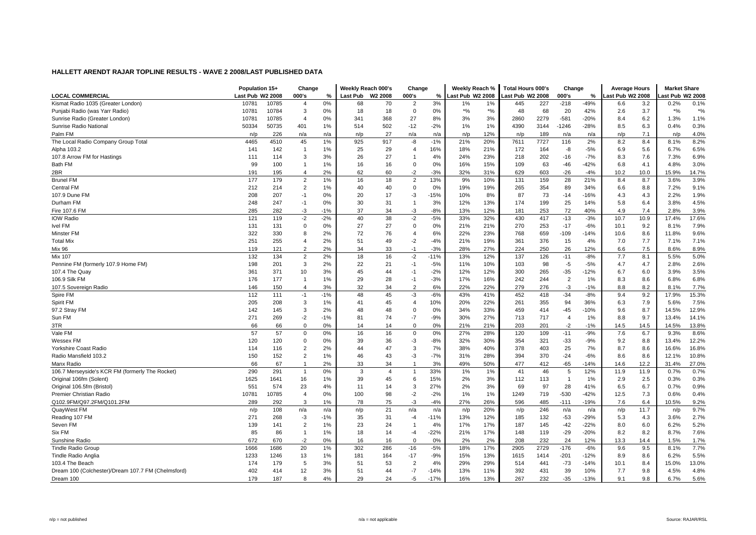|                                                    | Population 15+   |       | Change         |       | Weekly Reach 000's |                     | Change         |        | Weekly Reach %   |       | Total Hours 000's |      | Change         |        | <b>Average Hours</b> |      | <b>Market Share</b> |       |
|----------------------------------------------------|------------------|-------|----------------|-------|--------------------|---------------------|----------------|--------|------------------|-------|-------------------|------|----------------|--------|----------------------|------|---------------------|-------|
| <b>LOCAL COMMERCIAL</b>                            | Last Pub W2 2008 |       | 000's          | %     | <b>Last Pub</b>    | W <sub>2</sub> 2008 | 000's          | %      | Last Pub W2 2008 |       | Last Pub W2 2008  |      | 000's          | %      | ast Pub W2 2008      |      | ast Pub W2 2008     |       |
| Kismat Radio 1035 (Greater London)                 | 10781            | 10785 | $\overline{4}$ | 0%    | 68                 | 70                  | $\overline{2}$ | 3%     | $1\%$            | 1%    | 445               | 227  | $-218$         | $-49%$ | 6.6                  | 3.2  | 0.2%                | 0.1%  |
| Punjabi Radio (was Yarr Radio)                     | 10781            | 10784 | 3              | 0%    | 18                 | 18                  | 0              | 0%     | $*$ %            | $*$ % | 48                | 68   | 20             | 42%    | 2.6                  | 3.7  | $*$ %               | $*$ % |
| Sunrise Radio (Greater London)                     | 10781            | 10785 | 4              | 0%    | 341                | 368                 | 27             | 8%     | 3%               | 3%    | 2860              | 2279 | $-581$         | $-20%$ | 8.4                  | 6.2  | 1.3%                | 1.1%  |
| Sunrise Radio National                             | 50334            | 50735 | 401            | 1%    | 514                | 502                 | $-12$          | $-2%$  | 1%               | 1%    | 4390              | 3144 | $-1246$        | $-28%$ | 8.5                  | 6.3  | 0.4%                | 0.3%  |
| Palm FM                                            | n/p              | 226   | n/a            | n/a   | n/p                | 27                  | n/a            | n/a    | n/p              | 12%   | n/p               | 189  | n/a            | n/a    | n/p                  | 7.1  | n/p                 | 4.0%  |
| The Local Radio Company Group Total                | 4465             | 4510  | 45             | 1%    | 925                | 917                 | -8             | $-1%$  | 21%              | 20%   | 7611              | 7727 | 116            | 2%     | 8.2                  | 8.4  | 8.1%                | 8.2%  |
| Alpha 103.2                                        | 141              | 142   | $\mathbf{1}$   | 1%    | 25                 | 29                  | $\overline{4}$ | 16%    | 18%              | 21%   | 172               | 164  | -8             | -5%    | 6.9                  | 5.6  | 6.7%                | 6.5%  |
| 107.8 Arrow FM for Hastings                        | 111              | 114   | 3              | 3%    | 26                 | 27                  | -1             | 4%     | 24%              | 23%   | 218               | 202  | -16            | $-7%$  | 8.3                  | 7.6  | 7.3%                | 6.9%  |
| Bath FM                                            | 99               | 100   | $\mathbf{1}$   | 1%    | 16                 | 16                  | $\mathbf 0$    | 0%     | 16%              | 15%   | 109               | 63   | -46            | $-42%$ | 6.8                  | 4.1  | 4.8%                | 3.0%  |
| 2BR                                                | 191              | 195   | $\overline{4}$ | 2%    | 62                 | 60                  | $-2$           | $-3%$  | 32%              | 31%   | 629               | 603  | $-26$          | $-4%$  | 10.2                 | 10.0 | 15.9%               | 14.7% |
| <b>Brunel FM</b>                                   | 177              | 179   | $\overline{2}$ | 1%    | 16                 | 18                  | $\overline{2}$ | 13%    | 9%               | 10%   | 131               | 159  | 28             | 21%    | 8.4                  | 8.7  | 3.6%                | 3.9%  |
| <b>Central FM</b>                                  | 212              | 214   | $\overline{2}$ | 1%    | 40                 | 40                  | 0              | 0%     | 19%              | 19%   | 265               | 354  | 89             | 34%    | 6.6                  | 8.8  | 7.2%                | 9.1%  |
| 107.9 Dune FM                                      | 208              | 207   | $-1$           | 0%    | 20                 | 17                  | $-3$           | $-15%$ | 10%              | 8%    | 87                | 73   | $-14$          | $-16%$ | 4.3                  | 4.3  | 2.2%                | 1.9%  |
| Durham FM                                          | 248              | 247   | $-1$           | 0%    | 30                 | 31                  | -1             | 3%     | 12%              | 13%   | 174               | 199  | 25             | 14%    | 5.8                  | 6.4  | 3.8%                | 4.5%  |
| Fire 107.6 FM                                      | 285              | 282   | $-3$           | $-1%$ | 37                 | 34                  | $-3$           | $-8%$  | 13%              | 12%   | 181               | 253  | 72             | 40%    | 4.9                  | 7.4  | 2.8%                | 3.9%  |
| <b>IOW Radio</b>                                   | 121              | 119   | $-2$           | $-2%$ | 40                 | 38                  | $-2$           | $-5%$  | 33%              | 32%   | 430               | 417  | $-13$          | $-3%$  | 10.7                 | 10.9 | 17.4%               | 17.6% |
| Ivel FM                                            | 131              | 131   | $\mathbf 0$    | 0%    | 27                 | 27                  | 0              | 0%     | 21%              | 21%   | 270               | 253  | $-17$          | $-6%$  | 10.1                 | 9.2  | 8.1%                | 7.9%  |
| Minster FM                                         | 322              | 330   | 8              | 2%    | 72                 | 76                  | $\overline{4}$ | 6%     | 22%              | 23%   | 768               | 659  | -109           | $-14%$ | 10.6                 | 8.6  | 11.8%               | 9.6%  |
| <b>Total Mix</b>                                   | 251              | 255   | $\overline{4}$ | 2%    | 51                 | 49                  | $-2$           | $-4%$  | 21%              | 19%   | 361               | 376  | 15             | 4%     | 7.0                  | 7.7  | 7.1%                | 7.1%  |
| <b>Mix 96</b>                                      | 119              | 121   | $\overline{2}$ | 2%    | 34                 | 33                  | $-1$           | $-3%$  | 28%              | 27%   | 224               | 250  | 26             | 12%    | 6.6                  | 7.5  | 8.6%                | 8.9%  |
| <b>Mix 107</b>                                     | 132              | 134   | $\overline{2}$ | 2%    | 18                 | 16                  | $-2$           | $-11%$ | 13%              | 12%   | 137               | 126  | $-11$          | $-8%$  | 7.7                  | 8.1  | 5.5%                | 5.0%  |
| Pennine FM (formerly 107.9 Home FM)                | 198              | 201   | 3              | 2%    | 22                 | 21                  | $-1$           | $-5%$  | 11%              | 10%   | 103               | 98   | $-5$           | $-5%$  | 4.7                  | 4.7  | 2.8%                | 2.6%  |
| 107.4 The Quay                                     | 361              | 371   | 10             | 3%    | 45                 | 44                  | -1             | $-2%$  | 12%              | 12%   | 300               | 265  | $-35$          | $-12%$ | 6.7                  | 6.0  | 3.9%                | 3.5%  |
| 106.9 Silk FM                                      | 176              | 177   | $\mathbf{1}$   | 1%    | 29                 | 28                  | $-1$           | $-3%$  | 17%              | 16%   | 242               | 244  | $\overline{2}$ | 1%     | 8.3                  | 8.6  | 6.8%                | 6.8%  |
| 107.5 Sovereign Radio                              | 146              | 150   | $\overline{4}$ | 3%    | 32                 | 34                  | 2              | 6%     | 22%              | 22%   | 279               | 276  | $-3$           | $-1%$  | 8.8                  | 8.2  | 8.1%                | 7.7%  |
| Spire FM                                           | 112              | 111   | $-1$           | $-1%$ | 48                 | 45                  | $-3$           | $-6%$  | 43%              | 41%   | 452               | 418  | $-34$          | $-8%$  | 9.4                  | 9.2  | 17.9%               | 15.3% |
| Spirit FM                                          | 205              | 208   | 3              | 1%    | 41                 | 45                  | $\overline{4}$ | 10%    | 20%              | 22%   | 261               | 355  | 94             | 36%    | 6.3                  | 7.9  | 5.6%                | 7.5%  |
| 97.2 Stray FM                                      | 142              | 145   | 3              | 2%    | 48                 | 48                  | 0              | 0%     | 34%              | 33%   | 459               | 414  | $-45$          | $-10%$ | 9.6                  | 8.7  | 14.5%               | 12.9% |
| Sun FM                                             | 271              | 269   | $-2$           | $-1%$ | 81                 | 74                  | $-7$           | $-9%$  | 30%              | 27%   | 713               | 717  | $\overline{4}$ | 1%     | 8.8                  | 9.7  | 13.4%               | 14.1% |
| 3TR                                                | 66               | 66    | $\Omega$       | 0%    | 14                 | 14                  | $\Omega$       | 0%     | 21%              | 21%   | 203               | 201  | $-2$           | $-1%$  | 14.5                 | 14.5 | 14.5%               | 13.8% |
| Vale FM                                            | 57               | 57    | $\Omega$       | 0%    | 16                 | 16                  | $\Omega$       | 0%     | 27%              | 28%   | 120               | 109  | $-11$          | $-9%$  | 7.6                  | 6.7  | 9.3%                | 8.6%  |
| <b>Wessex FM</b>                                   | 120              | 120   | $\mathbf 0$    | 0%    | 39                 | 36                  | -3             | $-8%$  | 32%              | 30%   | 354               | 321  | $-33$          | $-9%$  | 9.2                  | 8.8  | 13.4%               | 12.2% |
| Yorkshire Coast Radio                              | 114              | 116   | $\overline{2}$ | 2%    | 44                 | 47                  | 3              | 7%     | 38%              | 40%   | 378               | 403  | 25             | 7%     | 8.7                  | 8.6  | 16.6%               | 16.8% |
| Radio Mansfield 103.2                              | 150              | 152   | $\overline{2}$ | 1%    | 46                 | 43                  | $-3$           | $-7%$  | 31%              | 28%   | 394               | 370  | $-24$          | $-6%$  | 8.6                  | 8.6  | 12.1%               | 10.8% |
| Manx Radio                                         | 66               | 67    | $\overline{1}$ | 2%    | 33                 | 34                  | -1             | 3%     | 49%              | 50%   | 477               | 412  | $-65$          | $-14%$ | 14.6                 | 12.2 | 31.4%               | 27.0% |
| 106.7 Merseyside's KCR FM (formerly The Rocket)    | 290              | 291   | $\overline{1}$ | 0%    | 3                  | $\overline{4}$      | 1              | 33%    | 1%               | 1%    | 41                | 46   | 5              | 12%    | 11.9                 | 11.9 | 0.7%                | 0.7%  |
| Original 106fm (Solent)                            | 1625             | 1641  | 16             | 1%    | 39                 | 45                  | 6              | 15%    | 2%               | 3%    | 112               | 113  | $\mathbf{1}$   | 1%     | 2.9                  | 2.5  | 0.3%                | 0.3%  |
| Original 106.5fm (Bristol)                         | 551              | 574   | 23             | 4%    | 11                 | 14                  | 3              | 27%    | 2%               | 3%    | 69                | 97   | 28             | 41%    | 6.5                  | 6.7  | 0.7%                | 0.9%  |
| Premier Christian Radio                            | 10781            | 10785 | $\overline{4}$ | 0%    | 100                | 98                  | $-2$           | $-2%$  | 1%               | 1%    | 1249              | 719  | $-530$         | $-42%$ | 12.5                 | 7.3  | 0.6%                | 0.4%  |
| Q102.9FM/Q97.2FM/Q101.2FM                          | 289              | 292   | 3              | 1%    | 78                 | 75                  | $-3$           | $-4%$  | 27%              | 26%   | 596               | 485  | $-111$         | $-19%$ | 7.6                  | 6.4  | 10.5%               | 9.2%  |
| QuayWest FM                                        | n/p              | 108   | n/a            | n/a   | n/p                | 21                  | n/a            | n/a    | n/p              | 20%   | n/p               | 246  | n/a            | n/a    | n/p                  | 11.7 | n/p                 | 9.7%  |
| Reading 107 FM                                     | 271              | 268   | $-3$           | $-1%$ | 35                 | 31                  | $-4$           | $-11%$ | 13%              | 12%   | 185               | 132  | $-53$          | $-29%$ | 5.3                  | 4.3  | 3.6%                | 2.7%  |
| Seven FM                                           | 139              | 141   | $\overline{2}$ | 1%    | 23                 | 24                  | -1             | 4%     | 17%              | 17%   | 187               | 145  | $-42$          | $-22%$ | 8.0                  | 6.0  | 6.2%                | 5.2%  |
| Six FM                                             | 85               | 86    | $\mathbf{1}$   | 1%    | 18                 | 14                  | $-4$           | $-22%$ | 21%              | 17%   | 148               | 119  | $-29$          | $-20%$ | 8.2                  | 8.2  | 8.7%                | 7.6%  |
| Sunshine Radio                                     | 672              | 670   | $-2$           | 0%    | 16                 | 16                  | $\Omega$       | 0%     | 2%               | 2%    | 208               | 232  | 24             | 12%    | 13.3                 | 14.4 | 1.5%                | 1.7%  |
| <b>Tindle Radio Group</b>                          | 1666             | 1686  | 20             | 1%    | 302                | 286                 | $-16$          | $-5%$  | 18%              | 17%   | 2905              | 2729 | $-176$         | $-6%$  | 9.6                  | 9.5  | 8.1%                | 7.7%  |
| <b>Tindle Radio Anglia</b>                         | 1233             | 1246  | 13             | 1%    | 181                | 164                 | $-17$          | $-9%$  | 15%              | 13%   | 1615              | 1414 | $-201$         | $-12%$ | 8.9                  | 8.6  | 6.2%                | 5.5%  |
| 103.4 The Beach                                    | 174              | 179   | 5              | 3%    | 51                 | 53                  | $\overline{2}$ | 4%     | 29%              | 29%   | 514               | 441  | $-73$          | $-14%$ | 10.1                 | 8.4  | 15.0%               | 13.0% |
| Dream 100 (Colchester)/Dream 107.7 FM (Chelmsford) | 402              | 414   | 12             | 3%    | 51                 | 44                  | $-7$           | $-14%$ | 13%              | 11%   | 392               | 431  | 39             | 10%    | 7.7                  | 9.8  | 4.5%                | 4.8%  |
| Dream 100                                          | 179              | 187   | 8              | 4%    | 29                 | 24                  | -5             | $-17%$ | 16%              | 13%   | 267               | 232  | $-35$          | $-13%$ | 9.1                  | 9.8  | 6.7%                | 5.6%  |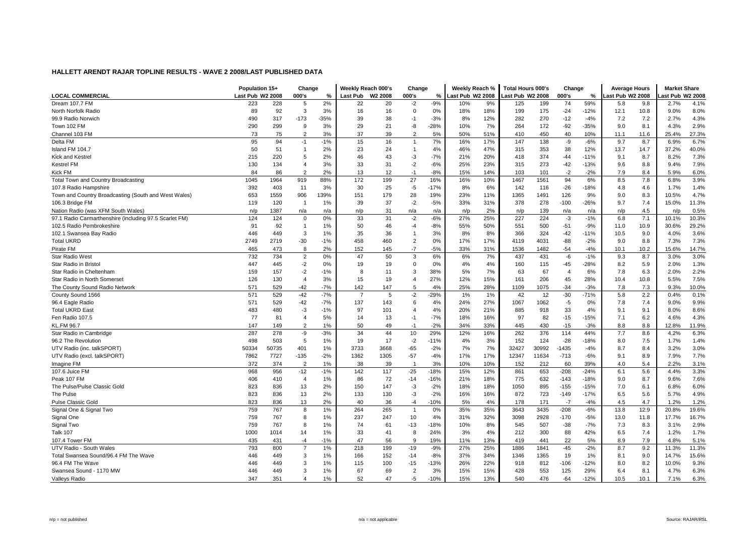|                                                        | Population 15+   |       | Change         |        | Weekly Reach 000's |                     | Change         |        | Weekly Reach %   |     | <b>Total Hours 000's</b> |       | Change         |        | <b>Average Hours</b> |      | <b>Market Share</b> |       |
|--------------------------------------------------------|------------------|-------|----------------|--------|--------------------|---------------------|----------------|--------|------------------|-----|--------------------------|-------|----------------|--------|----------------------|------|---------------------|-------|
| <b>LOCAL COMMERCIAL</b>                                | Last Pub W2 2008 |       | 000's          | $\%$   | Last Pub           | W <sub>2</sub> 2008 | 000's          | %      | Last Pub W2 2008 |     | Last Pub W2 2008         |       | 000's          | %      | ast Pub W2 2008      |      | ast Pub W2 2008     |       |
| Dream 107.7 FM                                         | 223              | 228   | 5              | 2%     | 22                 | 20                  | $-2$           | $-9%$  | 10%              | 9%  | 125                      | 199   | 74             | 59%    | 5.8                  | 9.8  | 2.7%                | 4.1%  |
| North Norfolk Radio                                    | 89               | 92    | 3              | 3%     | 16                 | 16                  | 0              | 0%     | 18%              | 18% | 199                      | 175   | $-24$          | $-12%$ | 12.1                 | 10.8 | 9.0%                | 8.0%  |
| 99.9 Radio Norwich                                     | 490              | 317   | $-173$         | $-35%$ | 39                 | 38                  | $-1$           | $-3%$  | 8%               | 12% | 282                      | 270   | $-12$          | $-4%$  | 7.2                  | 7.2  | 2.7%                | 4.3%  |
| Town 102 FM                                            | 290              | 299   | 9              | 3%     | 29                 | 21                  | -8             | $-28%$ | 10%              | 7%  | 264                      | 172   | $-92$          | $-35%$ | 9.0                  | 8.1  | 4.3%                | 2.9%  |
| Channel 103 FM                                         | 73               | 75    | $\overline{2}$ | 3%     | 37                 | 39                  | $\overline{2}$ | 5%     | 50%              | 51% | 410                      | 450   | 40             | 10%    | 11.1                 | 11.6 | 25.4%               | 27.3% |
| Delta FM                                               | 95               | 94    | $-1$           | $-1%$  | 15                 | 16                  | 1              | 7%     | 16%              | 17% | 147                      | 138   | -9             | $-6%$  | 9.7                  | 8.7  | 6.9%                | 6.7%  |
| Island FM 104.7                                        | 50               | 51    | 1              | 2%     | 23                 | 24                  | 1              | 4%     | 46%              | 47% | 315                      | 353   | 38             | 12%    | 13.7                 | 14.7 | 37.2%               | 40.0% |
| Kick and Kestrel                                       | 215              | 220   | 5              | 2%     | 46                 | 43                  | $-3$           | $-7%$  | 21%              | 20% | 418                      | 374   | $-44$          | $-11%$ | 9.1                  | 8.7  | 8.2%                | 7.3%  |
| <b>Kestrel FM</b>                                      | 130              | 134   | $\overline{4}$ | 3%     | 33                 | 31                  | $-2$           | $-6%$  | 25%              | 23% | 315                      | 273   | -42            | $-13%$ | 9.6                  | 8.8  | 9.4%                | 7.9%  |
| <b>Kick FM</b>                                         | 84               | 86    | $\overline{2}$ | 2%     | 13                 | 12                  | $-1$           | $-8%$  | 15%              | 14% | 103                      | 101   | $-2$           | $-2%$  | 7.9                  | 8.4  | 5.9%                | 6.0%  |
| Total Town and Country Broadcasting                    | 1045             | 1964  | 919            | 88%    | 172                | 199                 | 27             | 16%    | 16%              | 10% | 1467                     | 1561  | 94             | 6%     | 8.5                  | 7.8  | 6.8%                | 3.9%  |
| 107.8 Radio Hampshire                                  | 392              | 403   | 11             | 3%     | 30                 | 25                  | $-5$           | $-17%$ | 8%               | 6%  | 142                      | 116   | $-26$          | $-18%$ | 4.8                  | 4.6  | 1.7%                | 1.4%  |
| Town and Country Broadcasting (South and West Wales)   | 653              | 1559  | 906            | 139%   | 151                | 179                 | 28             | 19%    | 23%              | 11% | 1365                     | 1491  | 126            | 9%     | 9.0                  | 8.3  | 10.5%               | 4.7%  |
| 106.3 Bridge FM                                        | 119              | 120   | -1             | 1%     | 39                 | 37                  | $-2$           | $-5%$  | 33%              | 31% | 378                      | 278   | $-100$         | $-26%$ | 9.7                  | 7.4  | 15.0%               | 11.3% |
| Nation Radio (was XFM South Wales)                     | n/p              | 1387  | n/a            | n/a    | n/p                | 31                  | n/a            | n/a    | n/p              | 2%  | n/p                      | 139   | n/a            | n/a    | n/p                  | 4.5  | n/p                 | 0.5%  |
| 97.1 Radio Carmarthenshire (including 97.5 Scarlet FM) | 124              | 124   | $\mathbf 0$    | 0%     | 33                 | 31                  | $-2$           | $-6%$  | 27%              | 25% | 227                      | 224   | $-3$           | $-1%$  | 6.8                  | 7.1  | 10.1%               | 10.3% |
| 102.5 Radio Pembrokeshire                              | 91               | 92    | $\overline{1}$ | 1%     | 50                 | 46                  | $-4$           | $-8%$  | 55%              | 50% | 551                      | 500   | $-51$          | $-9%$  | 11.0                 | 10.9 | 30.6%               | 29.2% |
| 102.1 Swansea Bay Radio                                | 446              | 449   | 3              | 1%     | 35                 | 36                  | $\mathbf{1}$   | 3%     | 8%               | 8%  | 366                      | 324   | $-42$          | $-11%$ | 10.5                 | 9.0  | 4.0%                | 3.6%  |
| <b>Total UKRD</b>                                      | 2749             | 2719  | $-30$          | $-1%$  | 458                | 460                 | $\overline{2}$ | 0%     | 17%              | 17% | 4119                     | 4031  | $-88$          | $-2%$  | 9.0                  | 8.8  | 7.3%                | 7.3%  |
| Pirate FM                                              | 465              | 473   | 8              | 2%     | 152                | 145                 | $-7$           | $-5%$  | 33%              | 31% | 1536                     | 1482  | $-54$          | $-4%$  | 10.1                 | 10.2 | 15.6%               | 14.7% |
| Star Radio West                                        | 732              | 734   | $\overline{2}$ | 0%     | 47                 | 50                  | 3              | 6%     | 6%               | 7%  | 437                      | 431   | -6             | $-1%$  | 9.3                  | 8.7  | 3.0%                | 3.0%  |
| Star Radio in Bristol                                  | 447              | 445   | $-2$           | 0%     | 19                 | 19                  | $\Omega$       | 0%     | 4%               | 4%  | 160                      | 115   | $-45$          | $-28%$ | 8.2                  | 5.9  | 2.0%                | 1.3%  |
| Star Radio in Cheltenham                               | 159              | 157   | $-2$           | $-1%$  | 8                  | 11                  | 3              | 38%    | 5%               | 7%  | 63                       | 67    | $\overline{4}$ | 6%     | 7.8                  | 6.3  | 2.0%                | 2.2%  |
| Star Radio in North Somerset                           | 126              | 130   | $\overline{4}$ | 3%     | 15                 | 19                  | $\overline{4}$ | 27%    | 12%              | 15% | 161                      | 206   | 45             | 28%    | 10.4                 | 10.8 | 5.5%                | 7.5%  |
| The County Sound Radio Network                         | 571              | 529   | $-42$          | $-7%$  | 142                | 147                 | 5              | 4%     | 25%              | 28% | 1109                     | 1075  | $-34$          | $-3%$  | 7.8                  | 7.3  | 9.3%                | 10.0% |
| County Sound 1566                                      | 571              | 529   | $-42$          | $-7%$  | $\overline{7}$     | 5                   | $-2$           | $-29%$ | 1%               | 1%  | 42                       | 12    | $-30$          | $-71%$ | 5.8                  | 2.2  | 0.4%                | 0.1%  |
| 96.4 Eagle Radio                                       | 571              | 529   | -42            | $-7%$  | 137                | 143                 | 6              | 4%     | 24%              | 27% | 1067                     | 1062  | $-5$           | 0%     | 7.8                  | 7.4  | 9.0%                | 9.9%  |
| <b>Total UKRD East</b>                                 | 483              | 480   | $-3$           | $-1%$  | 97                 | 101                 | $\overline{4}$ | 4%     | 20%              | 21% | 885                      | 918   | 33             | 4%     | 9.1                  | 9.1  | 8.0%                | 8.6%  |
| Fen Radio 107.5                                        | 77               | 81    | $\overline{4}$ | 5%     | 14                 | 13                  | $-1$           | $-7%$  | 18%              | 16% | 97                       | 82    | $-15$          | $-15%$ | 7.1                  | 6.2  | 4.6%                | 4.3%  |
| <b>KL.FM 96.7</b>                                      | 147              | 149   | $\overline{2}$ | 1%     | 50                 | 49                  | $-1$           | $-2%$  | 34%              | 33% | 445                      | 430   | $-15$          | $-3%$  | 8.8                  | 8.8  | 12.8%               | 11.9% |
| Star Radio in Cambridge                                | 287              | 278   | -9             | $-3%$  | 34                 | 44                  | 10             | 29%    | 12%              | 16% | 262                      | 376   | 114            | 44%    | 7.7                  | 8.6  | 4.2%                | 6.3%  |
| 96.2 The Revolution                                    | 498              | 503   | 5              | 1%     | 19                 | 17                  | $-2$           | -11%   | 4%               | 3%  | 152                      | 124   | $-28$          | $-18%$ | 8.0                  | 7.5  | 1.7%                | 1.4%  |
| UTV Radio (inc. talkSPORT)                             | 50334            | 50735 | 401            | 1%     | 3733               | 3668                | $-65$          | $-2%$  | 7%               | 7%  | 32427                    | 30992 | $-1435$        | $-4%$  | 8.7                  | 8.4  | 3.2%                | 3.0%  |
| UTV Radio (excl. talkSPORT)                            | 7862             | 7727  | $-135$         | $-2%$  | 1362               | 1305                | $-57$          | $-4%$  | 17%              | 17% | 12347                    | 11634 | $-713$         | $-6%$  | 9.1                  | 8.9  | 7.9%                | 7.7%  |
| Imagine FM                                             | 372              | 374   | $\overline{2}$ | 1%     | 38                 | 39                  | -1             | 3%     | 10%              | 10% | 152                      | 212   | 60             | 39%    | 4.0                  | 5.4  | 2.2%                | 3.1%  |
| 107.6 Juice FM                                         | 968              | 956   | $-12$          | $-1%$  | 142                | 117                 | $-25$          | $-18%$ | 15%              | 12% | 861                      | 653   | $-208$         | $-24%$ | 6.1                  | 5.6  | 4.4%                | 3.3%  |
| Peak 107 FM                                            | 406              | 410   | $\overline{4}$ | 1%     | 86                 | 72                  | $-14$          | $-16%$ | 21%              | 18% | 775                      | 632   | $-143$         | $-18%$ | 9.0                  | 8.7  | 9.6%                | 7.6%  |
| The Pulse/Pulse Classic Gold                           | 823              | 836   | 13             | 2%     | 150                | 147                 | $-3$           | $-2%$  | 18%              | 18% | 1050                     | 895   | $-155$         | $-15%$ | 7.0                  | 6.1  | 6.8%                | 6.0%  |
| The Pulse                                              | 823              | 836   | 13             | 2%     | 133                | 130                 | $-3$           | $-2%$  | 16%              | 16% | 872                      | 723   | $-149$         | $-17%$ | 6.5                  | 5.6  | 5.7%                | 4.9%  |
| Pulse Classic Gold                                     | 823              | 836   | 13             | 2%     | 40                 | 36                  | $-4$           | $-10%$ | 5%               | 4%  | 178                      | 171   | $-7$           | $-4%$  | 4.5                  | 4.7  | 1.2%                | 1.2%  |
| Signal One & Signal Two                                | 759              | 767   | 8              | 1%     | 264                | 265                 | $\overline{1}$ | 0%     | 35%              | 35% | 3643                     | 3435  | $-208$         | $-6%$  | 13.8                 | 12.9 | 20.8%               | 19.6% |
| Signal One                                             | 759              | 767   | 8              | 1%     | 237                | 247                 | 10             | 4%     | 31%              | 32% | 3098                     | 2928  | $-170$         | $-5%$  | 13.0                 | 11.8 | 17.7%               | 16.7% |
| Signal Two                                             | 759              | 767   | 8              | 1%     | 74                 | 61                  | $-13$          | $-18%$ | 10%              | 8%  | 545                      | 507   | $-38$          | $-7%$  | 7.3                  | 8.3  | 3.1%                | 2.9%  |
| <b>Talk 107</b>                                        | 1000             | 1014  | 14             | 1%     | 33                 | 41                  | 8              | 24%    | 3%               | 4%  | 212                      | 300   | 88             | 42%    | 6.5                  | 7.4  | 1.2%                | 1.7%  |
| 107.4 Tower FM                                         | 435              | 431   | $-4$           | $-1%$  | 47                 | 56                  | 9              | 19%    | 11%              | 13% | 419                      | 441   | 22             | 5%     | 8.9                  | 7.9  | 4.8%                | 5.1%  |
| UTV Radio - South Wales                                | 793              | 800   | $\overline{7}$ | 1%     | 218                | 199                 | $-19$          | $-9%$  | 27%              | 25% | 1886                     | 1841  | $-45$          | $-2%$  | 8.7                  | 9.2  | 11.3%               | 11.3% |
| Total Swansea Sound/96.4 FM The Wave                   | 446              | 449   | 3              | 1%     | 166                | 152                 | $-14$          | $-8%$  | 37%              | 34% | 1346                     | 1365  | 19             | 1%     | 8.1                  | 9.0  | 14.7%               | 15.6% |
| 96.4 FM The Wave                                       | 446              | 449   | 3              | 1%     | 115                | 100                 | $-15$          | $-13%$ | 26%              | 22% | 918                      | 812   | $-106$         | $-12%$ | 8.0                  | 8.2  | 10.0%               | 9.3%  |
| Swansea Sound - 1170 MW                                | 446              | 449   | 3              | 1%     | 67                 | 69                  | $\overline{2}$ | 3%     | 15%              | 15% | 428                      | 553   | 125            | 29%    | 6.4                  | 8.1  | 4.7%                | 6.3%  |
| <b>Valleys Radio</b>                                   | 347              | 351   | 4              | 1%     | 52                 | 47                  | -5             | $-10%$ | 15%              | 13% | 540                      | 476   | $-64$          | $-12%$ | 10.5                 | 10.1 | 7.1%                | 6.3%  |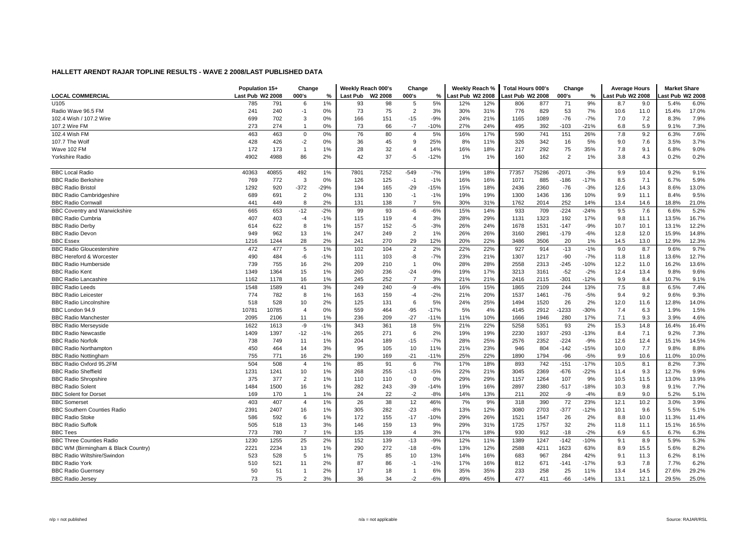|                                      | Population 15+   |       | Change         |        | Weekly Reach 000's |                     | Change         |        | Weekly Reach %  |     | <b>Total Hours 000's</b> |       | Change         |        | <b>Average Hours</b> |      | <b>Market Share</b> |       |
|--------------------------------------|------------------|-------|----------------|--------|--------------------|---------------------|----------------|--------|-----------------|-----|--------------------------|-------|----------------|--------|----------------------|------|---------------------|-------|
| <b>LOCAL COMMERCIAL</b>              | Last Pub W2 2008 |       | 000's          | %      | <b>Last Pub</b>    | W <sub>2</sub> 2008 | 000's          | %      | ast Pub W2 2008 |     | Last Pub W2 2008         |       | 000's          | ℅      | ast Pub W2 2008      |      | ast Pub W2 2008     |       |
| U105                                 | 785              | 791   | 6              | 1%     | 93                 | 98                  | 5              | 5%     | 12%             | 12% | 806                      | 877   | 71             | 9%     | 8.7                  | 9.0  | 5.4%                | 6.0%  |
| Radio Wave 96.5 FM                   | 241              | 240   | $-1$           | 0%     | 73                 | 75                  | $\overline{2}$ | 3%     | 30%             | 31% | 776                      | 829   | 53             | 7%     | 10.6                 | 11.0 | 15.4%               | 17.0% |
| 102.4 Wish / 107.2 Wire              | 699              | 702   | 3              | 0%     | 166                | 151                 | $-15$          | $-9%$  | 24%             | 21% | 1165                     | 1089  | $-76$          | $-7%$  | 7.0                  | 7.2  | 8.3%                | 7.9%  |
| 107.2 Wire FM                        | 273              | 274   | $\mathbf{1}$   | 0%     | 73                 | 66                  | $-7$           | $-10%$ | 27%             | 24% | 495                      | 392   | $-103$         | $-21%$ | 6.8                  | 5.9  | 9.1%                | 7.3%  |
| 102.4 Wish FM                        | 463              | 463   | $\Omega$       | 0%     | 76                 | 80                  | $\overline{4}$ | 5%     | 16%             | 17% | 590                      | 741   | 151            | 26%    | 7.8                  | 9.2  | 6.3%                | 7.6%  |
| 107.7 The Wolf                       | 428              | 426   | $-2$           | 0%     | 36                 | 45                  | 9              | 25%    | 8%              | 11% | 326                      | 342   | 16             | 5%     | 9.0                  | 7.6  | 3.5%                | 3.7%  |
| Wave 102 FM                          | 172              | 173   | $\mathbf{1}$   | 1%     | 28                 | 32                  | 4              | 14%    | 16%             | 18% | 217                      | 292   | 75             | 35%    | 7.8                  | 9.1  | 6.8%                | 9.0%  |
| Yorkshire Radio                      | 4902             | 4988  | 86             | 2%     | 42                 | 37                  | -5             | $-12%$ | 1%              | 1%  | 160                      | 162   | $\overline{2}$ | 1%     | 3.8                  | 4.3  | 0.2%                | 0.2%  |
| <b>BBC Local Radio</b>               | 40363            | 40855 | 492            | 1%     | 7801               | 7252                | $-549$         | $-7%$  | 19%             | 18% | 77357                    | 75286 | $-2071$        | $-3%$  | 9.9                  | 10.4 | 9.2%                | 9.1%  |
| <b>BBC Radio Berkshire</b>           | 769              | 772   | 3              | 0%     | 126                | 125                 | $-1$           | $-1%$  | 16%             | 16% | 1071                     | 885   | $-186$         | $-17%$ | 8.5                  | 7.1  | 6.7%                | 5.9%  |
| <b>BBC Radio Bristol</b>             | 1292             | 920   | $-372$         | $-29%$ | 194                | 165                 | $-29$          | $-15%$ | 15%             | 18% | 2436                     | 2360  | $-76$          | $-3%$  | 12.6                 | 14.3 | 8.6%                | 13.0% |
| <b>BBC Radio Cambridgeshire</b>      | 689              | 691   | $\overline{2}$ | 0%     | 131                | 130                 | $-1$           | $-1%$  | 19%             | 19% | 1300                     | 1436  | 136            | 10%    | 9.9                  | 11.1 | 8.4%                | 9.5%  |
| <b>BBC Radio Cornwal</b>             | 441              | 449   | 8              | 2%     | 131                | 138                 | $\overline{7}$ | 5%     | 30%             | 31% | 1762                     | 2014  | 252            | 14%    | 13.4                 | 14.6 | 18.8%               | 21.0% |
| <b>BBC Coventry and Warwickshire</b> | 665              | 653   | $-12$          | $-2%$  | 99                 | 93                  | -6             | $-6%$  | 15%             | 14% | 933                      | 709   | $-224$         | $-24%$ | 9.5                  | 7.6  | 6.6%                | 5.2%  |
| <b>BBC Radio Cumbria</b>             | 407              | 403   | $-4$           | $-1%$  | 115                | 119                 | 4              | 3%     | 28%             | 29% | 1131                     | 1323  | 192            | 17%    | 9.8                  | 11.1 | 13.5%               | 16.7% |
| <b>BBC Radio Derby</b>               | 614              | 622   | 8              | 1%     | 157                | 152                 | -5             | $-3%$  | 26%             | 24% | 1678                     | 1531  | $-147$         | $-9%$  | 10.7                 | 10.1 | 13.1%               | 12.2% |
| <b>BBC Radio Devon</b>               | 949              | 962   | 13             | 1%     | 247                | 249                 | $\overline{2}$ | 1%     | 26%             | 26% | 3160                     | 2981  | $-179$         | $-6%$  | 12.8                 | 12.0 | 15.9%               | 14.8% |
| <b>BBC Essex</b>                     | 1216             | 1244  | 28             | 2%     | 241                | 270                 | 29             | 12%    | 20%             | 22% | 3486                     | 3506  | 20             | 1%     | 14.5                 | 13.0 | 12.9%               | 12.3% |
| <b>BBC Radio Gloucestershire</b>     | 472              | 477   | 5              | 1%     | 102                | 104                 | $\overline{2}$ | 2%     | 22%             | 22% | 927                      | 914   | $-13$          | $-1%$  | 9.0                  | 8.7  | 9.6%                | 9.7%  |
| <b>BBC Hereford &amp; Worcester</b>  | 490              | 484   | -6             | $-1%$  | 111                | 103                 | -8             | $-7%$  | 23%             | 21% | 1307                     | 1217  | $-90$          | $-7%$  | 11.8                 | 11.8 | 13.6%               | 12.7% |
| <b>BBC Radio Humberside</b>          | 739              | 755   | 16             | 2%     | 209                | 210                 | $\overline{1}$ | 0%     | 28%             | 28% | 2558                     | 2313  | -245           | $-10%$ | 12.2                 | 11.0 | 16.2%               | 13.6% |
| <b>BBC Radio Kent</b>                | 1349             | 1364  | 15             | 1%     | 260                | 236                 | $-24$          | $-9%$  | 19%             | 17% | 3213                     | 3161  | $-52$          | $-2%$  | 12.4                 | 13.4 | 9.8%                | 9.6%  |
| <b>BBC Radio Lancashire</b>          | 1162             | 1178  | 16             | 1%     | 245                | 252                 | $\overline{7}$ | 3%     | 21%             | 21% | 2416                     | 2115  | $-301$         | $-12%$ | 9.9                  | 8.4  | 10.7%               | 9.1%  |
| <b>BBC Radio Leeds</b>               | 1548             | 1589  | 41             | 3%     | 249                | 240                 | -9             | $-4%$  | 16%             | 15% | 1865                     | 2109  | 244            | 13%    | 7.5                  | 8.8  | 6.5%                | 7.4%  |
| <b>BBC Radio Leicester</b>           | 774              | 782   | 8              | 1%     | 163                | 159                 | -4             | $-2%$  | 21%             | 20% | 1537                     | 1461  | $-76$          | $-5%$  | 9.4                  | 9.2  | 9.6%                | 9.3%  |
| <b>BBC Radio Lincolnshire</b>        | 518              | 528   | 10             | 2%     | 125                | 131                 | 6              | 5%     | 24%             | 25% | 1494                     | 1520  | 26             | 2%     | 12.0                 | 11.6 | 12.8%               | 14.0% |
| BBC London 94.9                      | 10781            | 10785 | $\overline{4}$ | 0%     | 559                | 464                 | $-95$          | $-17%$ | 5%              | 4%  | 4145                     | 2912  | $-1233$        | $-30%$ | 7.4                  | 6.3  | 1.9%                | 1.5%  |
| <b>BBC Radio Manchester</b>          | 2095             | 2106  | 11             | 1%     | 236                | 209                 | $-27$          | $-11%$ | 11%             | 10% | 1666                     | 1946  | 280            | 17%    | 7.1                  | 9.3  | 3.9%                | 4.6%  |
| <b>BBC Radio Merseyside</b>          | 1622             | 1613  | -9             | $-1%$  | 343                | 361                 | 18             | 5%     | 21%             | 22% | 5258                     | 5351  | 93             | 2%     | 15.3                 | 14.8 | 16.4%               | 16.4% |
| <b>BBC Radio Newcastle</b>           | 1409             | 1397  | $-12$          | $-1%$  | 265                | 271                 | 6              | 2%     | 19%             | 19% | 2230                     | 1937  | $-293$         | $-13%$ | 8.4                  | 7.1  | 9.2%                | 7.3%  |
| <b>BBC Radio Norfolk</b>             | 738              | 749   | 11             | 1%     | 204                | 189                 | $-15$          | $-7%$  | 28%             | 25% | 2576                     | 2352  | $-224$         | $-9%$  | 12.6                 | 12.4 | 15.1%               | 14.5% |
| <b>BBC Radio Northamptor</b>         | 450              | 464   | 14             | 3%     | 95                 | 105                 | 10             | 11%    | 21%             | 23% | 946                      | 804   | $-142$         | $-15%$ | 10.0                 | 7.7  | 9.8%                | 8.8%  |
| <b>BBC Radio Nottingham</b>          | 755              | 771   | 16             | 2%     | 190                | 169                 | $-21$          | $-11%$ | 25%             | 22% | 1890                     | 1794  | $-96$          | $-5%$  | 9.9                  | 10.6 | 11.0%               | 10.0% |
| BBC Radio Oxford 95.2FM              | 504              | 508   | $\overline{4}$ | 1%     | 85                 | 91                  | 6              | 7%     | 17%             | 18% | 893                      | 742   | $-151$         | $-17%$ | 10.5                 | 8.1  | 8.2%                | 7.3%  |
| <b>BBC Radio Sheffield</b>           | 1231             | 1241  | 10             | 1%     | 268                | 255                 | $-13$          | $-5%$  | 22%             | 21% | 3045                     | 2369  | $-676$         | $-22%$ | 11.4                 | 9.3  | 12.7%               | 9.9%  |
| <b>BBC Radio Shropshire</b>          | 375              | 377   | $\overline{2}$ | 1%     | 110                | 110                 | $\mathbf 0$    | 0%     | 29%             | 29% | 1157                     | 1264  | 107            | 9%     | 10.5                 | 11.5 | 13.0%               | 13.9% |
| <b>BBC Radio Solent</b>              | 1484             | 1500  | 16             | 1%     | 282                | 243                 | $-39$          | $-14%$ | 19%             | 16% | 2897                     | 2380  | $-517$         | $-18%$ | 10.3                 | 9.8  | 9.1%                | 7.7%  |
| <b>BBC Solent for Dorset</b>         | 169              | 170   | $\overline{1}$ | 1%     | 24                 | 22                  | $-2$           | $-8%$  | 14%             | 13% | 211                      | 202   | -9             | $-4%$  | 8.9                  | 9.0  | 5.2%                | 5.1%  |
| <b>BBC</b> Somerset                  | 403              | 407   | $\overline{4}$ | 1%     | 26                 | 38                  | 12             | 46%    | 7%              | 9%  | 318                      | 390   | 72             | 23%    | 12.1                 | 10.2 | 3.0%                | 3.9%  |
| <b>BBC Southern Counties Radio</b>   | 2391             | 2407  | 16             | 1%     | 305                | 282                 | $-23$          | $-8%$  | 13%             | 12% | 3080                     | 2703  | $-377$         | $-12%$ | 10.1                 | 9.6  | 5.5%                | 5.1%  |
| <b>BBC Radio Stoke</b>               | 586              | 592   | 6              | 1%     | 172                | 155                 | $-17$          | $-10%$ | 29%             | 26% | 1521                     | 1547  | 26             | 2%     | 8.8                  | 10.0 | 11.3%               | 11.4% |
| <b>BBC Radio Suffolk</b>             | 505              | 518   | 13             | 3%     | 146                | 159                 | 13             | 9%     | 29%             | 31% | 1725                     | 1757  | 32             | 2%     | 11.8                 | 11.1 | 15.1%               | 16.5% |
| <b>BBC Tees</b>                      | 773              | 780   | $\overline{7}$ | 1%     | 135                | 139                 | $\overline{4}$ | 3%     | 17%             | 18% | 930                      | 912   | $-18$          | $-2%$  | 6.9                  | 6.5  | 6.7%                | 6.3%  |
| <b>BBC Three Counties Radio</b>      | 1230             | 1255  | 25             | 2%     | 152                | 139                 | $-13$          | $-9%$  | 12%             | 11% | 1389                     | 1247  | $-142$         | $-10%$ | 9.1                  | 8.9  | 5.9%                | 5.3%  |
| BBC WM (Birmingham & Black Country)  | 2221             | 2234  | 13             | 1%     | 290                | 272                 | $-18$          | $-6%$  | 13%             | 12% | 2588                     | 4211  | 1623           | 63%    | 8.9                  | 15.5 | 5.6%                | 8.2%  |
| <b>BBC Radio Wiltshire/Swindon</b>   | 523              | 528   | 5              | 1%     | 75                 | 85                  | 10             | 13%    | 14%             | 16% | 683                      | 967   | 284            | 42%    | 9.1                  | 11.3 | 6.2%                | 8.1%  |
| <b>BBC Radio York</b>                | 510              | 521   | 11             | 2%     | 87                 | 86                  | $-1$           | $-1%$  | 17%             | 16% | 812                      | 671   | $-141$         | $-17%$ | 9.3                  | 7.8  | 7.7%                | 6.2%  |
| <b>BBC Radio Guernsey</b>            | 50               | 51    | 1              | 2%     | 17                 | 18                  | $\overline{1}$ | 6%     | 35%             | 35% | 233                      | 258   | 25             | 11%    | 13.4                 | 14.5 | 27.6%               | 29.2% |
| <b>BBC Radio Jersey</b>              | 73               | 75    | $\overline{2}$ | 3%     | 36                 | 34                  | $-2$           | $-6%$  | 49%             | 45% | 477                      | 411   | $-66$          | $-14%$ | 13.1                 | 12.1 | 29.5%               | 25.0% |